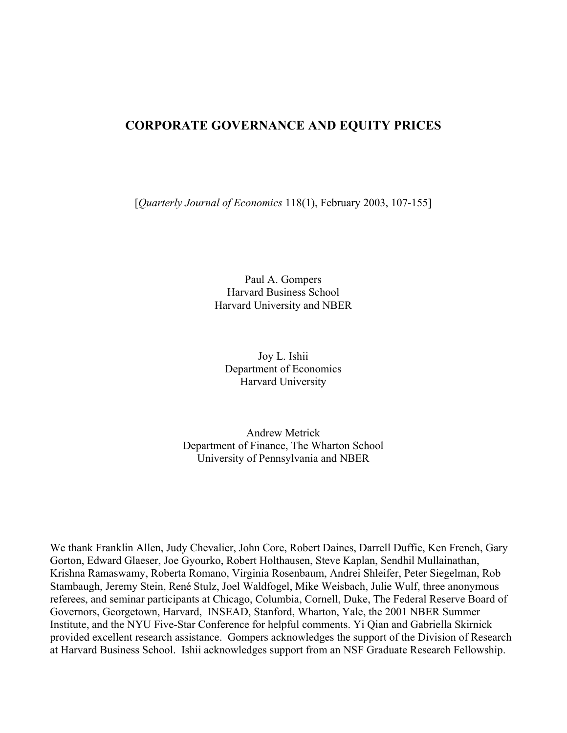# **CORPORATE GOVERNANCE AND EQUITY PRICES**

[*Quarterly Journal of Economics* 118(1), February 2003, 107-155]

Paul A. Gompers Harvard Business School Harvard University and NBER

Joy L. Ishii Department of Economics Harvard University

Andrew Metrick Department of Finance, The Wharton School University of Pennsylvania and NBER

We thank Franklin Allen, Judy Chevalier, John Core, Robert Daines, Darrell Duffie, Ken French, Gary Gorton, Edward Glaeser, Joe Gyourko, Robert Holthausen, Steve Kaplan, Sendhil Mullainathan, Krishna Ramaswamy, Roberta Romano, Virginia Rosenbaum, Andrei Shleifer, Peter Siegelman, Rob Stambaugh, Jeremy Stein, René Stulz, Joel Waldfogel, Mike Weisbach, Julie Wulf, three anonymous referees, and seminar participants at Chicago, Columbia, Cornell, Duke, The Federal Reserve Board of Governors, Georgetown, Harvard, INSEAD, Stanford, Wharton, Yale, the 2001 NBER Summer Institute, and the NYU Five-Star Conference for helpful comments. Yi Qian and Gabriella Skirnick provided excellent research assistance. Gompers acknowledges the support of the Division of Research at Harvard Business School. Ishii acknowledges support from an NSF Graduate Research Fellowship.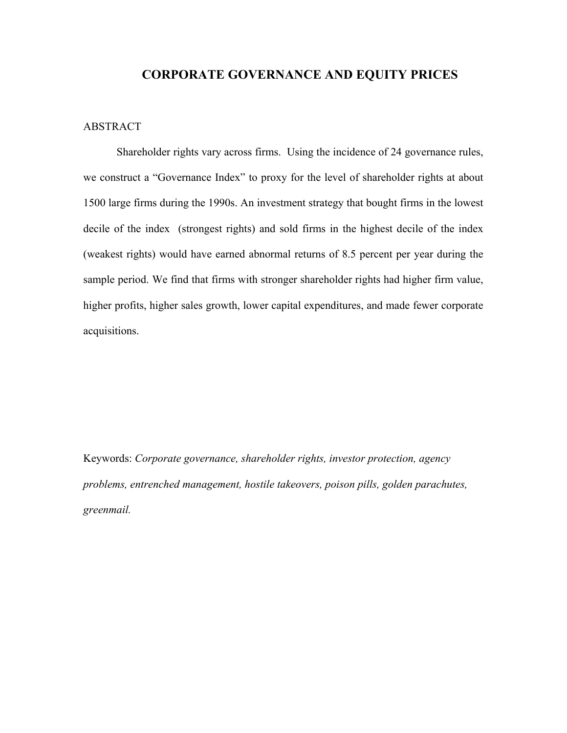# **CORPORATE GOVERNANCE AND EQUITY PRICES**

## ABSTRACT

Shareholder rights vary across firms. Using the incidence of 24 governance rules, we construct a "Governance Index" to proxy for the level of shareholder rights at about 1500 large firms during the 1990s. An investment strategy that bought firms in the lowest decile of the index (strongest rights) and sold firms in the highest decile of the index (weakest rights) would have earned abnormal returns of 8.5 percent per year during the sample period. We find that firms with stronger shareholder rights had higher firm value, higher profits, higher sales growth, lower capital expenditures, and made fewer corporate acquisitions.

Keywords: *Corporate governance, shareholder rights, investor protection, agency problems, entrenched management, hostile takeovers, poison pills, golden parachutes, greenmail.*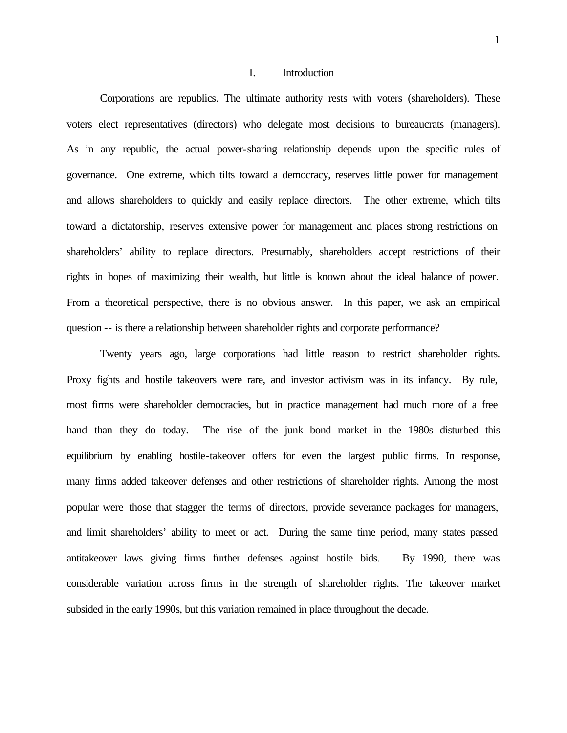#### I. Introduction

Corporations are republics. The ultimate authority rests with voters (shareholders). These voters elect representatives (directors) who delegate most decisions to bureaucrats (managers). As in any republic, the actual power-sharing relationship depends upon the specific rules of governance. One extreme, which tilts toward a democracy, reserves little power for management and allows shareholders to quickly and easily replace directors. The other extreme, which tilts toward a dictatorship, reserves extensive power for management and places strong restrictions on shareholders' ability to replace directors. Presumably, shareholders accept restrictions of their rights in hopes of maximizing their wealth, but little is known about the ideal balance of power. From a theoretical perspective, there is no obvious answer. In this paper, we ask an empirical question -- is there a relationship between shareholder rights and corporate performance?

Twenty years ago, large corporations had little reason to restrict shareholder rights. Proxy fights and hostile takeovers were rare, and investor activism was in its infancy. By rule, most firms were shareholder democracies, but in practice management had much more of a free hand than they do today. The rise of the junk bond market in the 1980s disturbed this equilibrium by enabling hostile-takeover offers for even the largest public firms. In response, many firms added takeover defenses and other restrictions of shareholder rights. Among the most popular were those that stagger the terms of directors, provide severance packages for managers, and limit shareholders' ability to meet or act. During the same time period, many states passed antitakeover laws giving firms further defenses against hostile bids. By 1990, there was considerable variation across firms in the strength of shareholder rights. The takeover market subsided in the early 1990s, but this variation remained in place throughout the decade.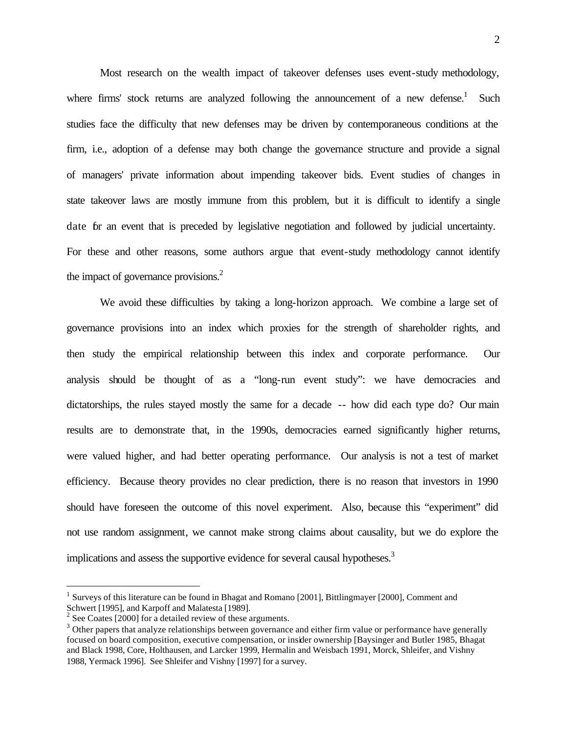Most research on the wealth impact of takeover defenses uses event-study methodology, where firms' stock returns are analyzed following the announcement of a new defense.<sup>1</sup> Such studies face the difficulty that new defenses may be driven by contemporaneous conditions at the firm, i.e., adoption of a defense may both change the governance structure and provide a signal of managers' private information about impending takeover bids. Event studies of changes in state takeover laws are mostly immune from this problem, but it is difficult to identify a single date for an event that is preceded by legislative negotiation and followed by judicial uncertainty. For these and other reasons, some authors argue that event-study methodology cannot identify the impact of governance provisions.<sup>2</sup>

We avoid these difficulties by taking a long-horizon approach. We combine a large set of governance provisions into an index which proxies for the strength of shareholder rights, and then study the empirical relationship between this index and corporate performance. Our analysis should be thought of as a "long-run event study": we have democracies and dictatorships, the rules stayed mostly the same for a decade -- how did each type do? Our main results are to demonstrate that, in the 1990s, democracies earned significantly higher returns, were valued higher, and had better operating performance. Our analysis is not a test of market efficiency. Because theory provides no clear prediction, there is no reason that investors in 1990 should have foreseen the outcome of this novel experiment. Also, because this "experiment" did not use random assignment, we cannot make strong claims about causality, but we do explore the implications and assess the supportive evidence for several causal hypotheses.<sup>3</sup>

<sup>&</sup>lt;sup>1</sup> Surveys of this literature can be found in Bhagat and Romano [2001], Bittlingmayer [2000], Comment and Schwert [1995], and Karpoff and Malatesta [1989].

 $2^2$  See Coates [2000] for a detailed review of these arguments.

 $3$  Other papers that analyze relationships between governance and either firm value or performance have generally focused on board composition, executive compensation, or insider ownership [Baysinger and Butler 1985, Bhagat and Black 1998, Core, Holthausen, and Larcker 1999, Hermalin and Weisbach 1991, Morck, Shleifer, and Vishny 1988, Yermack 1996]. See Shleifer and Vishny [1997] for a survey.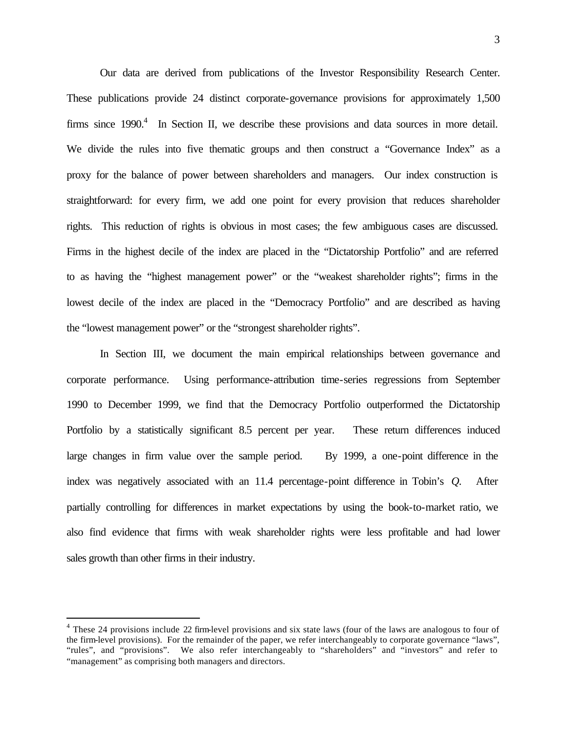Our data are derived from publications of the Investor Responsibility Research Center. These publications provide 24 distinct corporate-governance provisions for approximately 1,500 firms since  $1990<sup>4</sup>$  In Section II, we describe these provisions and data sources in more detail. We divide the rules into five thematic groups and then construct a "Governance Index" as a proxy for the balance of power between shareholders and managers. Our index construction is straightforward: for every firm, we add one point for every provision that reduces shareholder rights. This reduction of rights is obvious in most cases; the few ambiguous cases are discussed. Firms in the highest decile of the index are placed in the "Dictatorship Portfolio" and are referred to as having the "highest management power" or the "weakest shareholder rights"; firms in the lowest decile of the index are placed in the "Democracy Portfolio" and are described as having the "lowest management power" or the "strongest shareholder rights".

In Section III, we document the main empirical relationships between governance and corporate performance. Using performance-attribution time-series regressions from September 1990 to December 1999, we find that the Democracy Portfolio outperformed the Dictatorship Portfolio by a statistically significant 8.5 percent per year. These return differences induced large changes in firm value over the sample period. By 1999, a one-point difference in the index was negatively associated with an 11.4 percentage-point difference in Tobin's *Q*. After partially controlling for differences in market expectations by using the book-to-market ratio, we also find evidence that firms with weak shareholder rights were less profitable and had lower sales growth than other firms in their industry.

<sup>&</sup>lt;sup>4</sup> These 24 provisions include 22 firm-level provisions and six state laws (four of the laws are analogous to four of the firm-level provisions). For the remainder of the paper, we refer interchangeably to corporate governance "laws", "rules", and "provisions". We also refer interchangeably to "shareholders" and "investors" and refer to "management" as comprising both managers and directors.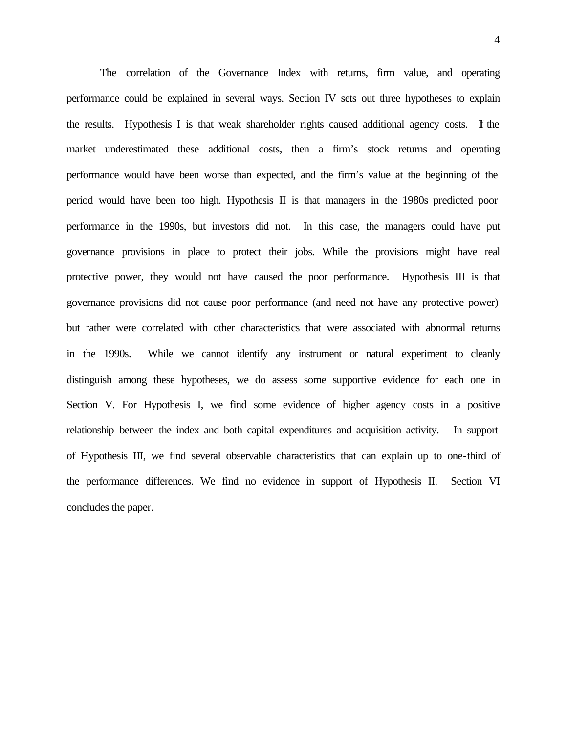The correlation of the Governance Index with returns, firm value, and operating performance could be explained in several ways. Section IV sets out three hypotheses to explain the results. Hypothesis I is that weak shareholder rights caused additional agency costs. If the market underestimated these additional costs, then a firm's stock returns and operating performance would have been worse than expected, and the firm's value at the beginning of the period would have been too high. Hypothesis II is that managers in the 1980s predicted poor performance in the 1990s, but investors did not. In this case, the managers could have put governance provisions in place to protect their jobs. While the provisions might have real protective power, they would not have caused the poor performance. Hypothesis III is that governance provisions did not cause poor performance (and need not have any protective power) but rather were correlated with other characteristics that were associated with abnormal returns in the 1990s. While we cannot identify any instrument or natural experiment to cleanly distinguish among these hypotheses, we do assess some supportive evidence for each one in Section V. For Hypothesis I, we find some evidence of higher agency costs in a positive relationship between the index and both capital expenditures and acquisition activity. In support of Hypothesis III, we find several observable characteristics that can explain up to one-third of the performance differences. We find no evidence in support of Hypothesis II. Section VI concludes the paper.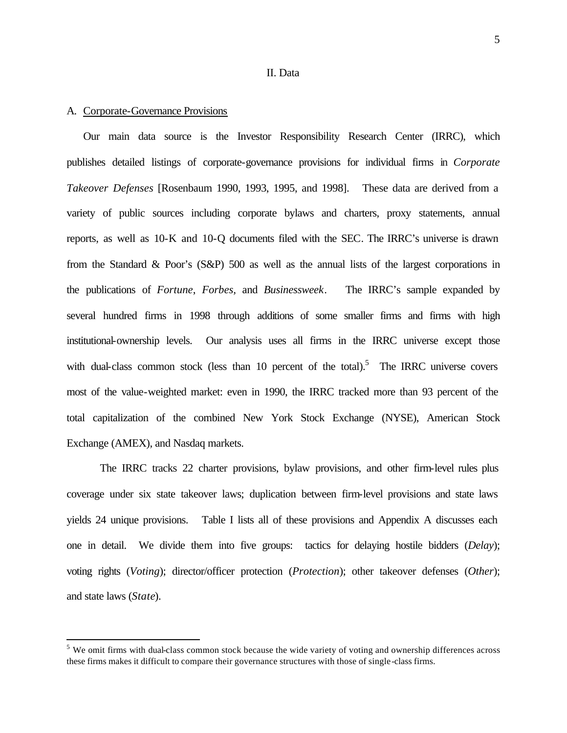#### II. Data

## A. Corporate-Governance Provisions

 $\overline{a}$ 

Our main data source is the Investor Responsibility Research Center (IRRC), which publishes detailed listings of corporate-governance provisions for individual firms in *Corporate Takeover Defenses* [Rosenbaum 1990, 1993, 1995, and 1998]. These data are derived from a variety of public sources including corporate bylaws and charters, proxy statements, annual reports, as well as 10-K and 10-Q documents filed with the SEC. The IRRC's universe is drawn from the Standard & Poor's (S&P) 500 as well as the annual lists of the largest corporations in the publications of *Fortune*, *Forbes,* and *Businessweek*. The IRRC's sample expanded by several hundred firms in 1998 through additions of some smaller firms and firms with high institutional-ownership levels. Our analysis uses all firms in the IRRC universe except those with dual-class common stock (less than 10 percent of the total).<sup>5</sup> The IRRC universe covers most of the value-weighted market: even in 1990, the IRRC tracked more than 93 percent of the total capitalization of the combined New York Stock Exchange (NYSE), American Stock Exchange (AMEX), and Nasdaq markets.

The IRRC tracks 22 charter provisions, bylaw provisions, and other firm-level rules plus coverage under six state takeover laws; duplication between firm-level provisions and state laws yields 24 unique provisions. Table I lists all of these provisions and Appendix A discusses each one in detail. We divide them into five groups: tactics for delaying hostile bidders (*Delay*); voting rights (*Voting*); director/officer protection (*Protection*); other takeover defenses (*Other*); and state laws (*State*).

<sup>&</sup>lt;sup>5</sup> We omit firms with dual-class common stock because the wide variety of voting and ownership differences across these firms makes it difficult to compare their governance structures with those of single-class firms.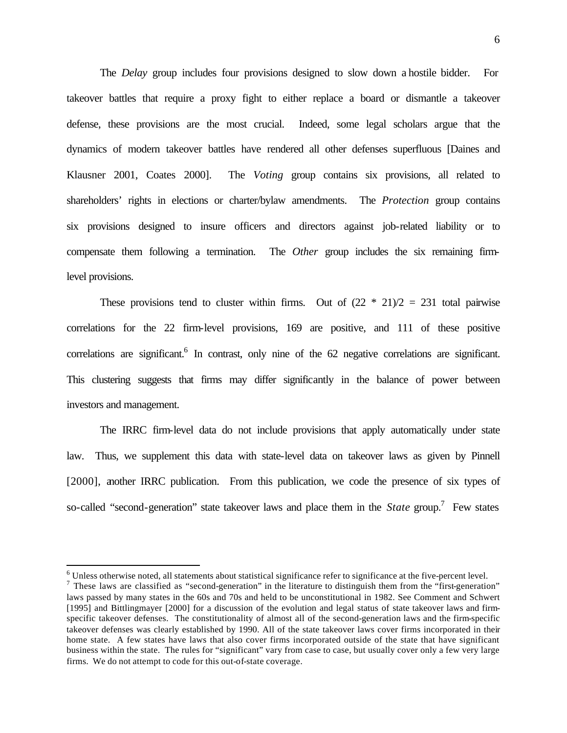The *Delay* group includes four provisions designed to slow down a hostile bidder. For takeover battles that require a proxy fight to either replace a board or dismantle a takeover defense, these provisions are the most crucial. Indeed, some legal scholars argue that the dynamics of modern takeover battles have rendered all other defenses superfluous [Daines and Klausner 2001, Coates 2000]. The *Voting* group contains six provisions, all related to shareholders' rights in elections or charter/bylaw amendments. The *Protection* group contains six provisions designed to insure officers and directors against job-related liability or to compensate them following a termination. The *Other* group includes the six remaining firmlevel provisions.

These provisions tend to cluster within firms. Out of  $(22 * 21)/2 = 231$  total pairwise correlations for the 22 firm-level provisions, 169 are positive, and 111 of these positive correlations are significant.<sup>6</sup> In contrast, only nine of the 62 negative correlations are significant. This clustering suggests that firms may differ significantly in the balance of power between investors and management.

The IRRC firm-level data do not include provisions that apply automatically under state law. Thus, we supplement this data with state-level data on takeover laws as given by Pinnell [2000], another IRRC publication. From this publication, we code the presence of six types of so-called "second-generation" state takeover laws and place them in the *State* group.<sup>7</sup> Few states

 $6$  Unless otherwise noted, all statements about statistical significance refer to significance at the five-percent level.

 $<sup>7</sup>$  These laws are classified as "second-generation" in the literature to distinguish them from the "first-generation"</sup> laws passed by many states in the 60s and 70s and held to be unconstitutional in 1982. See Comment and Schwert [1995] and Bittlingmayer [2000] for a discussion of the evolution and legal status of state takeover laws and firmspecific takeover defenses. The constitutionality of almost all of the second-generation laws and the firm-specific takeover defenses was clearly established by 1990. All of the state takeover laws cover firms incorporated in their home state. A few states have laws that also cover firms incorporated outside of the state that have significant business within the state. The rules for "significant" vary from case to case, but usually cover only a few very large firms. We do not attempt to code for this out-of-state coverage.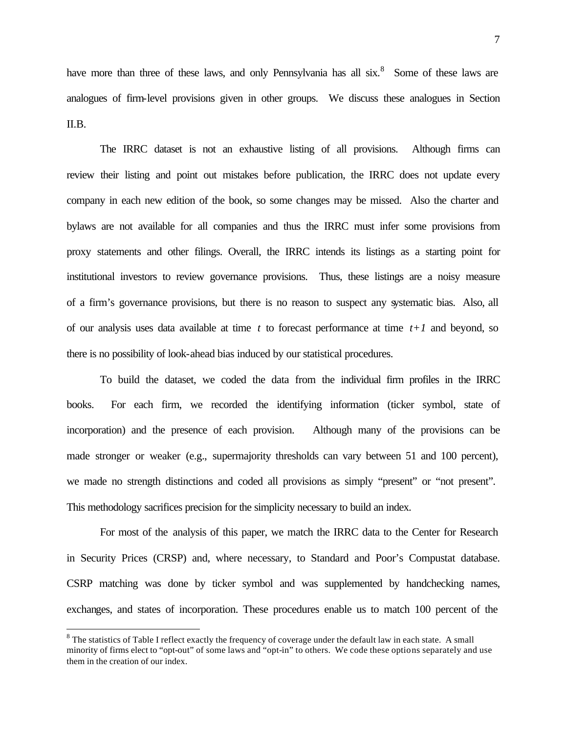have more than three of these laws, and only Pennsylvania has all six.<sup>8</sup> Some of these laws are analogues of firm-level provisions given in other groups. We discuss these analogues in Section II.B.

The IRRC dataset is not an exhaustive listing of all provisions. Although firms can review their listing and point out mistakes before publication, the IRRC does not update every company in each new edition of the book, so some changes may be missed. Also the charter and bylaws are not available for all companies and thus the IRRC must infer some provisions from proxy statements and other filings. Overall, the IRRC intends its listings as a starting point for institutional investors to review governance provisions. Thus, these listings are a noisy measure of a firm's governance provisions, but there is no reason to suspect any systematic bias. Also, all of our analysis uses data available at time  $t$  to forecast performance at time  $t+1$  and beyond, so there is no possibility of look-ahead bias induced by our statistical procedures.

To build the dataset, we coded the data from the individual firm profiles in the IRRC books. For each firm, we recorded the identifying information (ticker symbol, state of incorporation) and the presence of each provision. Although many of the provisions can be made stronger or weaker (e.g., supermajority thresholds can vary between 51 and 100 percent), we made no strength distinctions and coded all provisions as simply "present" or "not present". This methodology sacrifices precision for the simplicity necessary to build an index.

For most of the analysis of this paper, we match the IRRC data to the Center for Research in Security Prices (CRSP) and, where necessary, to Standard and Poor's Compustat database. CSRP matching was done by ticker symbol and was supplemented by handchecking names, exchanges, and states of incorporation. These procedures enable us to match 100 percent of the

 $8$  The statistics of Table I reflect exactly the frequency of coverage under the default law in each state. A small minority of firms elect to "opt-out" of some laws and "opt-in" to others. We code these options separately and use them in the creation of our index.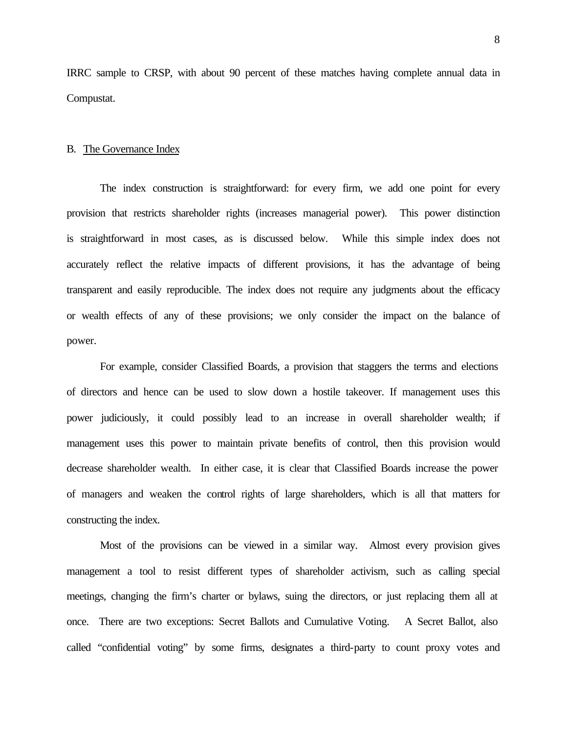IRRC sample to CRSP, with about 90 percent of these matches having complete annual data in Compustat.

#### B. The Governance Index

The index construction is straightforward: for every firm, we add one point for every provision that restricts shareholder rights (increases managerial power). This power distinction is straightforward in most cases, as is discussed below. While this simple index does not accurately reflect the relative impacts of different provisions, it has the advantage of being transparent and easily reproducible. The index does not require any judgments about the efficacy or wealth effects of any of these provisions; we only consider the impact on the balance of power.

For example, consider Classified Boards, a provision that staggers the terms and elections of directors and hence can be used to slow down a hostile takeover. If management uses this power judiciously, it could possibly lead to an increase in overall shareholder wealth; if management uses this power to maintain private benefits of control, then this provision would decrease shareholder wealth. In either case, it is clear that Classified Boards increase the power of managers and weaken the control rights of large shareholders, which is all that matters for constructing the index.

Most of the provisions can be viewed in a similar way. Almost every provision gives management a tool to resist different types of shareholder activism, such as calling special meetings, changing the firm's charter or bylaws, suing the directors, or just replacing them all at once. There are two exceptions: Secret Ballots and Cumulative Voting. A Secret Ballot, also called "confidential voting" by some firms, designates a third-party to count proxy votes and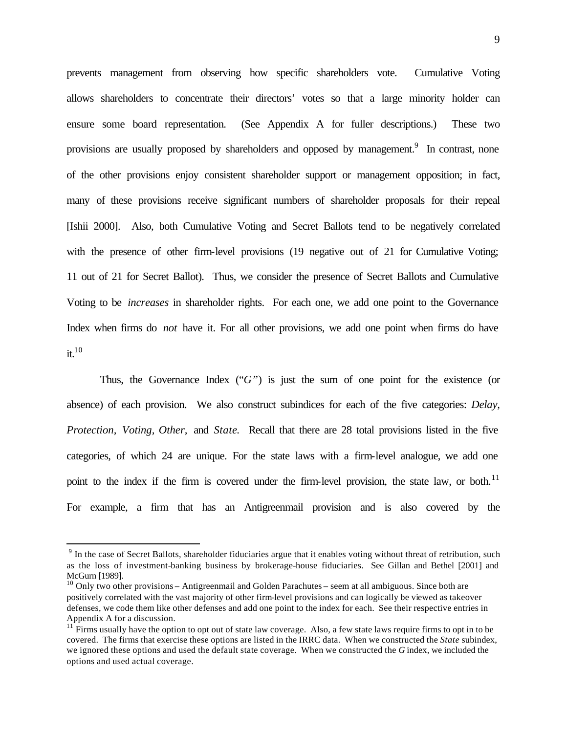prevents management from observing how specific shareholders vote. Cumulative Voting allows shareholders to concentrate their directors' votes so that a large minority holder can ensure some board representation. (See Appendix A for fuller descriptions.) These two provisions are usually proposed by shareholders and opposed by management.<sup>9</sup> In contrast, none of the other provisions enjoy consistent shareholder support or management opposition; in fact, many of these provisions receive significant numbers of shareholder proposals for their repeal [Ishii 2000]. Also, both Cumulative Voting and Secret Ballots tend to be negatively correlated with the presence of other firm-level provisions (19 negative out of 21 for Cumulative Voting; 11 out of 21 for Secret Ballot). Thus, we consider the presence of Secret Ballots and Cumulative Voting to be *increases* in shareholder rights. For each one, we add one point to the Governance Index when firms do *not* have it. For all other provisions, we add one point when firms do have  $it.<sup>10</sup>$ 

Thus, the Governance Index ("*G"*) is just the sum of one point for the existence (or absence) of each provision. We also construct subindices for each of the five categories: *Delay, Protection, Voting, Other,* and *State*. Recall that there are 28 total provisions listed in the five categories, of which 24 are unique. For the state laws with a firm-level analogue, we add one point to the index if the firm is covered under the firm-level provision, the state law, or both.<sup>11</sup> For example, a firm that has an Antigreenmail provision and is also covered by the

 $9<sup>9</sup>$  In the case of Secret Ballots, shareholder fiduciaries argue that it enables voting without threat of retribution, such as the loss of investment-banking business by brokerage-house fiduciaries. See Gillan and Bethel [2001] and McGurn [1989].

<sup>&</sup>lt;sup>10</sup> Only two other provisions – Antigreenmail and Golden Parachutes – seem at all ambiguous. Since both are positively correlated with the vast majority of other firm-level provisions and can logically be viewed as takeover defenses, we code them like other defenses and add one point to the index for each. See their respective entries in Appendix A for a discussion.

<sup>&</sup>lt;sup>11</sup> Firms usually have the option to opt out of state law coverage. Also, a few state laws require firms to opt in to be covered. The firms that exercise these options are listed in the IRRC data. When we constructed the *State* subindex, we ignored these options and used the default state coverage. When we constructed the *G* index, we included the options and used actual coverage.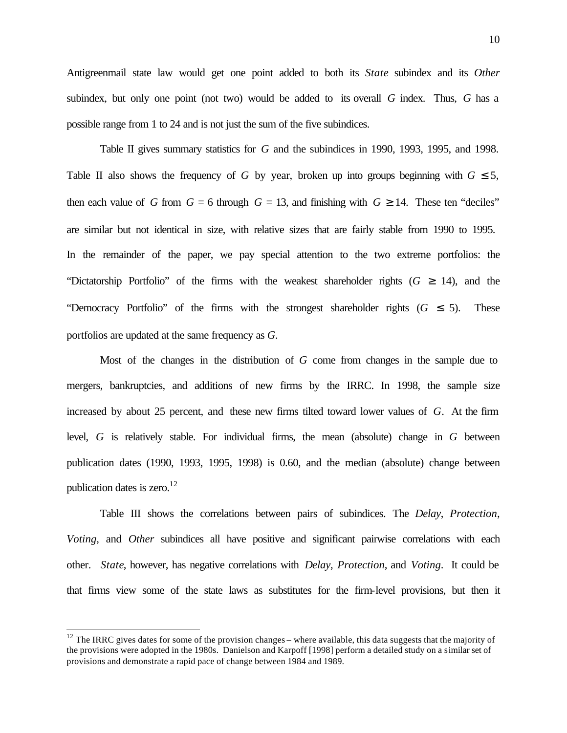10

Antigreenmail state law would get one point added to both its *State* subindex and its *Other* subindex, but only one point (not two) would be added to its overall *G* index. Thus, *G* has a possible range from 1 to 24 and is not just the sum of the five subindices.

Table II gives summary statistics for *G* and the subindices in 1990, 1993, 1995, and 1998. Table II also shows the frequency of *G* by year, broken up into groups beginning with  $G \leq 5$ , then each value of *G* from  $G = 6$  through  $G = 13$ , and finishing with  $G \ge 14$ . These ten "deciles" are similar but not identical in size, with relative sizes that are fairly stable from 1990 to 1995. In the remainder of the paper, we pay special attention to the two extreme portfolios: the "Dictatorship Portfolio" of the firms with the weakest shareholder rights  $(G \geq 14)$ , and the "Democracy Portfolio" of the firms with the strongest shareholder rights  $(G \leq 5)$ . These portfolios are updated at the same frequency as *G.*

Most of the changes in the distribution of *G* come from changes in the sample due to mergers, bankruptcies, and additions of new firms by the IRRC. In 1998, the sample size increased by about 25 percent, and these new firms tilted toward lower values of *G*. At the firm level, *G* is relatively stable. For individual firms, the mean (absolute) change in *G* between publication dates (1990, 1993, 1995, 1998) is 0.60, and the median (absolute) change between publication dates is zero. $12$ 

Table III shows the correlations between pairs of subindices. The *Delay*, *Protection*, *Voting*, and *Other* subindices all have positive and significant pairwise correlations with each other. *State*, however, has negative correlations with *Delay*, *Protection*, and *Voting*. It could be that firms view some of the state laws as substitutes for the firm-level provisions, but then it

 $12$  The IRRC gives dates for some of the provision changes – where available, this data suggests that the majority of the provisions were adopted in the 1980s. Danielson and Karpoff [1998] perform a detailed study on a similar set of provisions and demonstrate a rapid pace of change between 1984 and 1989.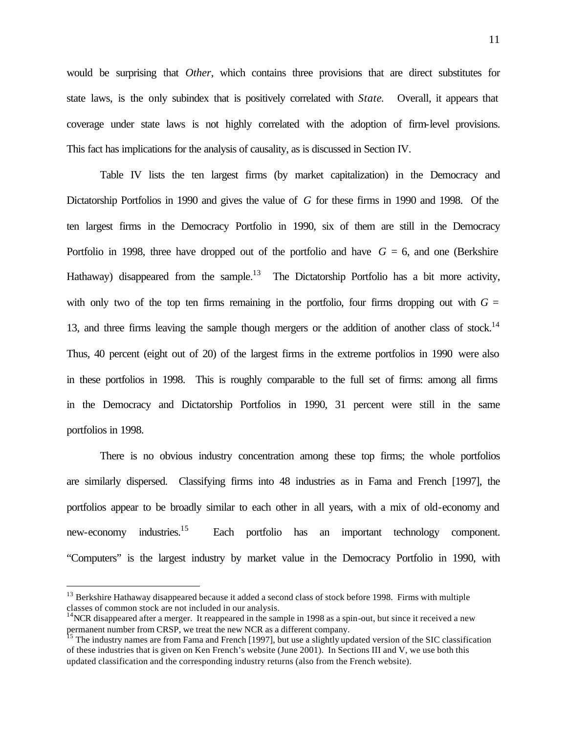would be surprising that *Other*, which contains three provisions that are direct substitutes for state laws, is the only subindex that is positively correlated with *State*. Overall, it appears that coverage under state laws is not highly correlated with the adoption of firm-level provisions. This fact has implications for the analysis of causality, as is discussed in Section IV.

Table IV lists the ten largest firms (by market capitalization) in the Democracy and Dictatorship Portfolios in 1990 and gives the value of *G* for these firms in 1990 and 1998. Of the ten largest firms in the Democracy Portfolio in 1990, six of them are still in the Democracy Portfolio in 1998, three have dropped out of the portfolio and have  $G = 6$ , and one (Berkshire Hathaway) disappeared from the sample.<sup>13</sup> The Dictatorship Portfolio has a bit more activity, with only two of the top ten firms remaining in the portfolio, four firms dropping out with  $G =$ 13, and three firms leaving the sample though mergers or the addition of another class of stock.<sup>14</sup> Thus, 40 percent (eight out of 20) of the largest firms in the extreme portfolios in 1990 were also in these portfolios in 1998. This is roughly comparable to the full set of firms: among all firms in the Democracy and Dictatorship Portfolios in 1990, 31 percent were still in the same portfolios in 1998.

There is no obvious industry concentration among these top firms; the whole portfolios are similarly dispersed. Classifying firms into 48 industries as in Fama and French [1997], the portfolios appear to be broadly similar to each other in all years, with a mix of old-economy and new-economy industries.<sup>15</sup> Each portfolio has an important technology component. "Computers" is the largest industry by market value in the Democracy Portfolio in 1990, with

<sup>&</sup>lt;sup>13</sup> Berkshire Hathaway disappeared because it added a second class of stock before 1998. Firms with multiple classes of common stock are not included in our analysis.

 $14$ NCR disappeared after a merger. It reappeared in the sample in 1998 as a spin-out, but since it received a new permanent number from CRSP, we treat the new NCR as a different company.

 $15$  The industry names are from Fama and French [1997], but use a slightly updated version of the SIC classification of these industries that is given on Ken French's website (June 2001). In Sections III and V, we use both this updated classification and the corresponding industry returns (also from the French website).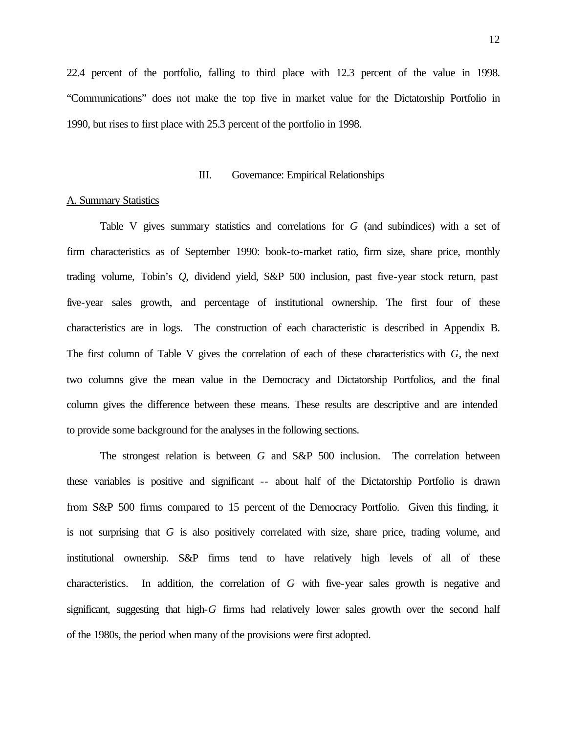22.4 percent of the portfolio, falling to third place with 12.3 percent of the value in 1998. "Communications" does not make the top five in market value for the Dictatorship Portfolio in 1990, but rises to first place with 25.3 percent of the portfolio in 1998.

## III. Governance: Empirical Relationships

#### A. Summary Statistics

Table V gives summary statistics and correlations for *G* (and subindices) with a set of firm characteristics as of September 1990: book-to-market ratio, firm size, share price, monthly trading volume, Tobin's *Q,* dividend yield, S&P 500 inclusion, past five-year stock return, past five-year sales growth, and percentage of institutional ownership. The first four of these characteristics are in logs. The construction of each characteristic is described in Appendix B. The first column of Table V gives the correlation of each of these characteristics with *G*, the next two columns give the mean value in the Democracy and Dictatorship Portfolios, and the final column gives the difference between these means. These results are descriptive and are intended to provide some background for the analyses in the following sections.

The strongest relation is between *G* and S&P 500 inclusion. The correlation between these variables is positive and significant -- about half of the Dictatorship Portfolio is drawn from S&P 500 firms compared to 15 percent of the Democracy Portfolio. Given this finding, it is not surprising that *G* is also positively correlated with size, share price, trading volume, and institutional ownership. S&P firms tend to have relatively high levels of all of these characteristics. In addition, the correlation of *G* with five-year sales growth is negative and significant, suggesting that high-*G* firms had relatively lower sales growth over the second half of the 1980s, the period when many of the provisions were first adopted.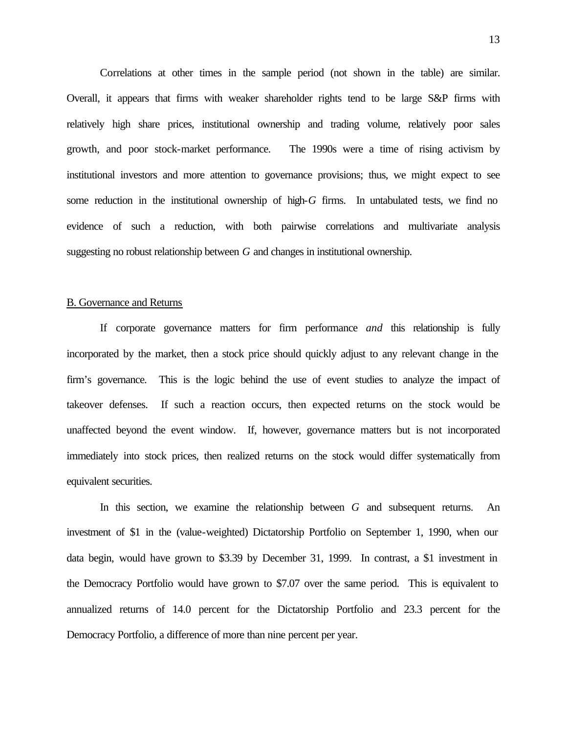Correlations at other times in the sample period (not shown in the table) are similar. Overall, it appears that firms with weaker shareholder rights tend to be large S&P firms with relatively high share prices, institutional ownership and trading volume, relatively poor sales growth, and poor stock-market performance. The 1990s were a time of rising activism by institutional investors and more attention to governance provisions; thus, we might expect to see some reduction in the institutional ownership of high-*G* firms. In untabulated tests, we find no evidence of such a reduction, with both pairwise correlations and multivariate analysis suggesting no robust relationship between *G* and changes in institutional ownership.

## B. Governance and Returns

If corporate governance matters for firm performance *and* this relationship is fully incorporated by the market, then a stock price should quickly adjust to any relevant change in the firm's governance. This is the logic behind the use of event studies to analyze the impact of takeover defenses. If such a reaction occurs, then expected returns on the stock would be unaffected beyond the event window. If, however, governance matters but is not incorporated immediately into stock prices, then realized returns on the stock would differ systematically from equivalent securities.

In this section, we examine the relationship between *G* and subsequent returns. An investment of \$1 in the (value-weighted) Dictatorship Portfolio on September 1, 1990, when our data begin, would have grown to \$3.39 by December 31, 1999. In contrast, a \$1 investment in the Democracy Portfolio would have grown to \$7.07 over the same period. This is equivalent to annualized returns of 14.0 percent for the Dictatorship Portfolio and 23.3 percent for the Democracy Portfolio, a difference of more than nine percent per year.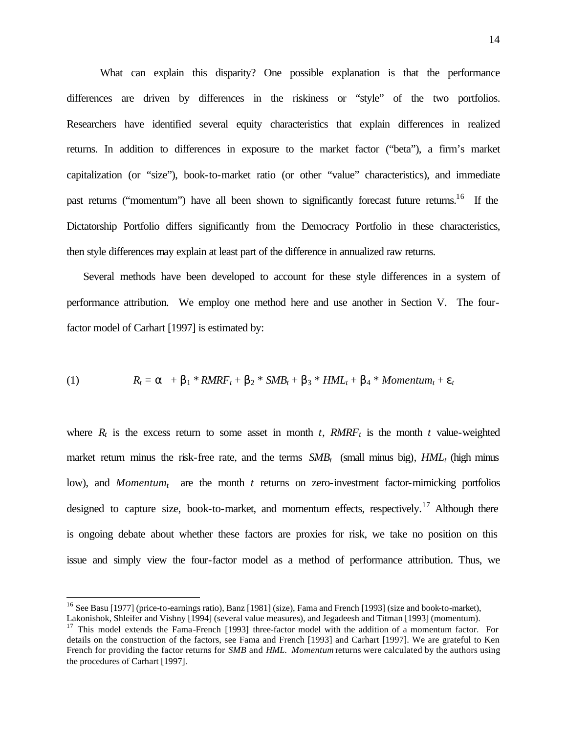What can explain this disparity? One possible explanation is that the performance differences are driven by differences in the riskiness or "style" of the two portfolios. Researchers have identified several equity characteristics that explain differences in realized returns. In addition to differences in exposure to the market factor ("beta"), a firm's market capitalization (or "size"), book-to-market ratio (or other "value" characteristics), and immediate past returns ("momentum") have all been shown to significantly forecast future returns.<sup>16</sup> If the Dictatorship Portfolio differs significantly from the Democracy Portfolio in these characteristics, then style differences may explain at least part of the difference in annualized raw returns.

Several methods have been developed to account for these style differences in a system of performance attribution. We employ one method here and use another in Section V. The fourfactor model of Carhart [1997] is estimated by:

(1) 
$$
R_t = \alpha + \beta_1 * RMRF_t + \beta_2 * SMB_t + \beta_3 * HML_t + \beta_4 * Momentum_t + \varepsilon_t
$$

where  $R_t$  is the excess return to some asset in month *t*,  $RMRF_t$  is the month *t* value-weighted market return minus the risk-free rate, and the terms  $SMB_t$  (small minus big),  $HML_t$  (high minus low), and *Momentum*<sup>t</sup> are the month *t* returns on zero-investment factor-mimicking portfolios designed to capture size, book-to-market, and momentum effects, respectively.<sup>17</sup> Although there is ongoing debate about whether these factors are proxies for risk, we take no position on this issue and simply view the four-factor model as a method of performance attribution. Thus, we

<sup>&</sup>lt;sup>16</sup> See Basu [1977] (price-to-earnings ratio), Banz [1981] (size), Fama and French [1993] (size and book-to-market),

Lakonishok, Shleifer and Vishny [1994] (several value measures), and Jegadeesh and Titman [1993] (momentum).

 $17$  This model extends the Fama-French [1993] three-factor model with the addition of a momentum factor. For details on the construction of the factors, see Fama and French [1993] and Carhart [1997]. We are grateful to Ken French for providing the factor returns for *SMB* and *HML*. *Momentum* returns were calculated by the authors using the procedures of Carhart [1997].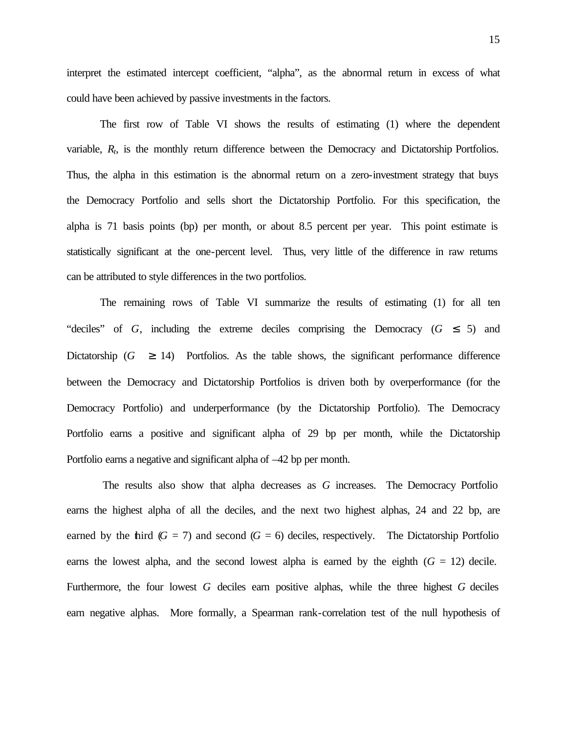interpret the estimated intercept coefficient, "alpha", as the abnormal return in excess of what could have been achieved by passive investments in the factors.

The first row of Table VI shows the results of estimating (1) where the dependent variable,  $R_t$ , is the monthly return difference between the Democracy and Dictatorship Portfolios. Thus, the alpha in this estimation is the abnormal return on a zero-investment strategy that buys the Democracy Portfolio and sells short the Dictatorship Portfolio. For this specification, the alpha is 71 basis points (bp) per month, or about 8.5 percent per year. This point estimate is statistically significant at the one-percent level. Thus, very little of the difference in raw returns can be attributed to style differences in the two portfolios.

The remaining rows of Table VI summarize the results of estimating (1) for all ten "deciles" of *G*, including the extreme deciles comprising the Democracy  $(G \leq 5)$  and Dictatorship  $(G \geq 14)$  Portfolios. As the table shows, the significant performance difference between the Democracy and Dictatorship Portfolios is driven both by overperformance (for the Democracy Portfolio) and underperformance (by the Dictatorship Portfolio). The Democracy Portfolio earns a positive and significant alpha of 29 bp per month, while the Dictatorship Portfolio earns a negative and significant alpha of –42 bp per month.

 The results also show that alpha decreases as *G* increases. The Democracy Portfolio earns the highest alpha of all the deciles, and the next two highest alphas, 24 and 22 bp, are earned by the third  $(G = 7)$  and second  $(G = 6)$  deciles, respectively. The Dictatorship Portfolio earns the lowest alpha, and the second lowest alpha is earned by the eighth  $(G = 12)$  decile. Furthermore, the four lowest *G* deciles earn positive alphas, while the three highest *G* deciles earn negative alphas. More formally, a Spearman rank-correlation test of the null hypothesis of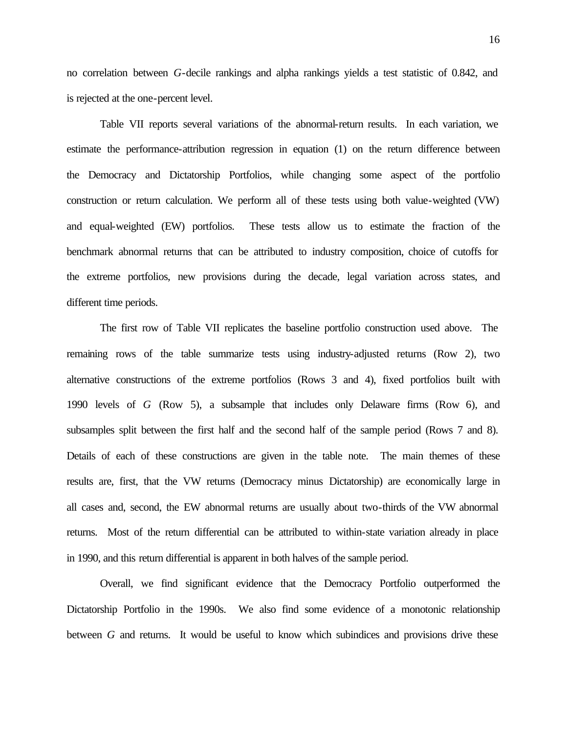no correlation between *G*-decile rankings and alpha rankings yields a test statistic of 0.842, and is rejected at the one-percent level.

Table VII reports several variations of the abnormal-return results. In each variation, we estimate the performance-attribution regression in equation (1) on the return difference between the Democracy and Dictatorship Portfolios, while changing some aspect of the portfolio construction or return calculation. We perform all of these tests using both value-weighted (VW) and equal-weighted (EW) portfolios. These tests allow us to estimate the fraction of the benchmark abnormal returns that can be attributed to industry composition, choice of cutoffs for the extreme portfolios, new provisions during the decade, legal variation across states, and different time periods.

The first row of Table VII replicates the baseline portfolio construction used above. The remaining rows of the table summarize tests using industry-adjusted returns (Row 2), two alternative constructions of the extreme portfolios (Rows 3 and 4), fixed portfolios built with 1990 levels of *G* (Row 5), a subsample that includes only Delaware firms (Row 6), and subsamples split between the first half and the second half of the sample period (Rows 7 and 8). Details of each of these constructions are given in the table note. The main themes of these results are, first, that the VW returns (Democracy minus Dictatorship) are economically large in all cases and, second, the EW abnormal returns are usually about two-thirds of the VW abnormal returns. Most of the return differential can be attributed to within-state variation already in place in 1990, and this return differential is apparent in both halves of the sample period.

Overall, we find significant evidence that the Democracy Portfolio outperformed the Dictatorship Portfolio in the 1990s. We also find some evidence of a monotonic relationship between *G* and returns. It would be useful to know which subindices and provisions drive these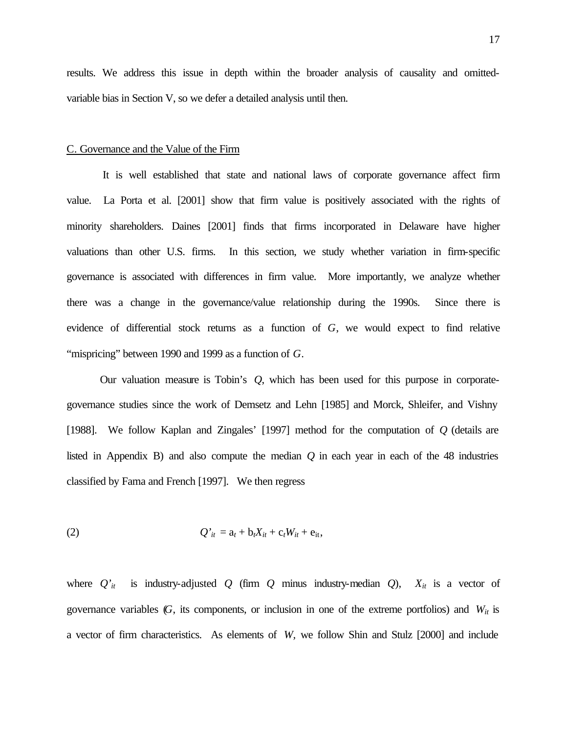results. We address this issue in depth within the broader analysis of causality and omittedvariable bias in Section V, so we defer a detailed analysis until then.

## C. Governance and the Value of the Firm

 It is well established that state and national laws of corporate governance affect firm value. La Porta et al. [2001] show that firm value is positively associated with the rights of minority shareholders. Daines [2001] finds that firms incorporated in Delaware have higher valuations than other U.S. firms. In this section, we study whether variation in firm-specific governance is associated with differences in firm value. More importantly, we analyze whether there was a change in the governance/value relationship during the 1990s. Since there is evidence of differential stock returns as a function of *G*, we would expect to find relative "mispricing" between 1990 and 1999 as a function of *G*.

Our valuation measure is Tobin's *Q*, which has been used for this purpose in corporategovernance studies since the work of Demsetz and Lehn [1985] and Morck, Shleifer, and Vishny [1988]. We follow Kaplan and Zingales' [1997] method for the computation of *Q* (details are listed in Appendix B) and also compute the median *Q* in each year in each of the 48 industries classified by Fama and French [1997]. We then regress

$$
Q'_{it} = a_t + b_t X_{it} + c_t W_{it} + e_{it},
$$

where  $Q'_{it}$  is industry-adjusted  $Q$  (firm  $Q$  minus industry-median  $Q$ ),  $X_{it}$  is a vector of governance variables (*G*, its components, or inclusion in one of the extreme portfolios) and *Wit* is a vector of firm characteristics. As elements of *W,* we follow Shin and Stulz [2000] and include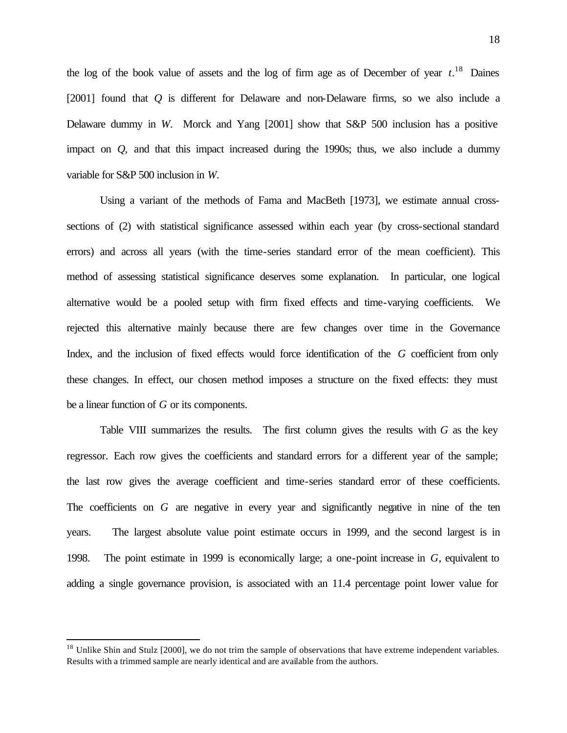the log of the book value of assets and the log of firm age as of December of year  $t$ .<sup>18</sup> Daines [2001] found that *Q* is different for Delaware and non-Delaware firms, so we also include a Delaware dummy in *W*. Morck and Yang [2001] show that S&P 500 inclusion has a positive impact on *Q*, and that this impact increased during the 1990s; thus, we also include a dummy variable for S&P 500 inclusion in *W*.

Using a variant of the methods of Fama and MacBeth [1973], we estimate annual crosssections of (2) with statistical significance assessed within each year (by cross-sectional standard errors) and across all years (with the time-series standard error of the mean coefficient). This method of assessing statistical significance deserves some explanation. In particular, one logical alternative would be a pooled setup with firm fixed effects and time-varying coefficients. We rejected this alternative mainly because there are few changes over time in the Governance Index, and the inclusion of fixed effects would force identification of the *G* coefficient from only these changes. In effect, our chosen method imposes a structure on the fixed effects: they must be a linear function of *G* or its components.

Table VIII summarizes the results. The first column gives the results with *G* as the key regressor. Each row gives the coefficients and standard errors for a different year of the sample; the last row gives the average coefficient and time-series standard error of these coefficients. The coefficients on *G* are negative in every year and significantly negative in nine of the ten years. The largest absolute value point estimate occurs in 1999, and the second largest is in 1998. The point estimate in 1999 is economically large; a one-point increase in *G*, equivalent to adding a single governance provision, is associated with an 11.4 percentage point lower value for

 $18$  Unlike Shin and Stulz [2000], we do not trim the sample of observations that have extreme independent variables. Results with a trimmed sample are nearly identical and are available from the authors.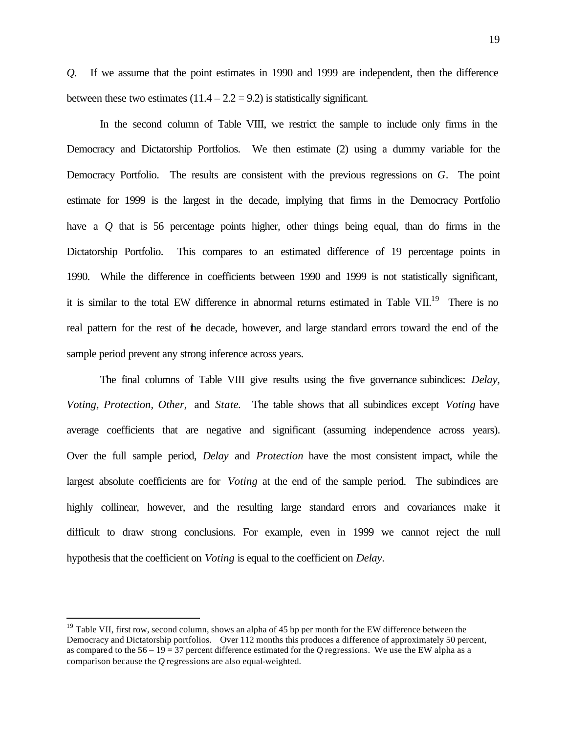*Q*. If we assume that the point estimates in 1990 and 1999 are independent, then the difference between these two estimates  $(11.4 – 2.2 = 9.2)$  is statistically significant.

In the second column of Table VIII, we restrict the sample to include only firms in the Democracy and Dictatorship Portfolios. We then estimate (2) using a dummy variable for the Democracy Portfolio. The results are consistent with the previous regressions on *G*. The point estimate for 1999 is the largest in the decade, implying that firms in the Democracy Portfolio have a *Q* that is 56 percentage points higher, other things being equal, than do firms in the Dictatorship Portfolio. This compares to an estimated difference of 19 percentage points in 1990. While the difference in coefficients between 1990 and 1999 is not statistically significant, it is similar to the total EW difference in abnormal returns estimated in Table VII.<sup>19</sup> There is no real pattern for the rest of the decade, however, and large standard errors toward the end of the sample period prevent any strong inference across years.

The final columns of Table VIII give results using the five governance subindices: *Delay, Voting, Protection, Other,* and *State*. The table shows that all subindices except *Voting* have average coefficients that are negative and significant (assuming independence across years). Over the full sample period, *Delay* and *Protection* have the most consistent impact, while the largest absolute coefficients are for *Voting* at the end of the sample period. The subindices are highly collinear, however, and the resulting large standard errors and covariances make it difficult to draw strong conclusions. For example, even in 1999 we cannot reject the null hypothesis that the coefficient on *Voting* is equal to the coefficient on *Delay*.

<sup>&</sup>lt;sup>19</sup> Table VII, first row, second column, shows an alpha of 45 bp per month for the EW difference between the Democracy and Dictatorship portfolios. Over 112 months this produces a difference of approximately 50 percent, as compared to the 56 – 19 = 37 percent difference estimated for the *Q* regressions. We use the EW alpha as a comparison because the *Q* regressions are also equal-weighted.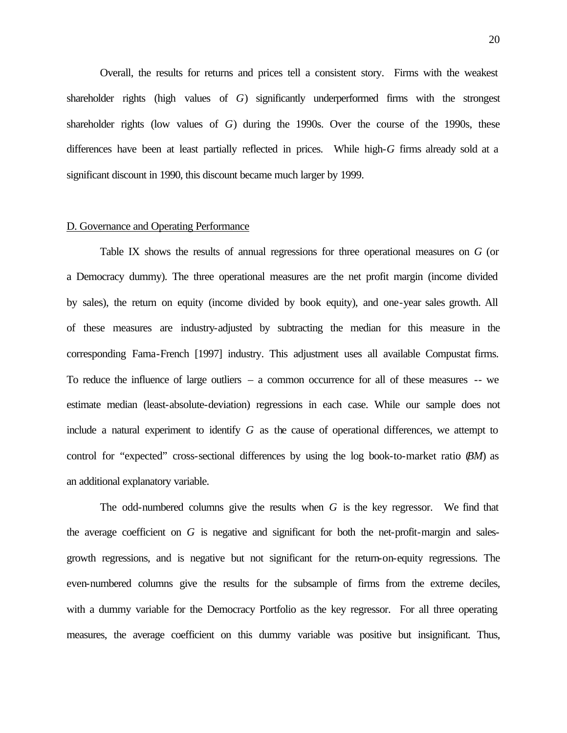Overall, the results for returns and prices tell a consistent story. Firms with the weakest shareholder rights (high values of *G*) significantly underperformed firms with the strongest shareholder rights (low values of *G*) during the 1990s. Over the course of the 1990s, these differences have been at least partially reflected in prices. While high-*G* firms already sold at a significant discount in 1990, this discount became much larger by 1999.

## D. Governance and Operating Performance

Table IX shows the results of annual regressions for three operational measures on *G* (or a Democracy dummy). The three operational measures are the net profit margin (income divided by sales), the return on equity (income divided by book equity), and one-year sales growth. All of these measures are industry-adjusted by subtracting the median for this measure in the corresponding Fama-French [1997] industry. This adjustment uses all available Compustat firms. To reduce the influence of large outliers – a common occurrence for all of these measures -- we estimate median (least-absolute-deviation) regressions in each case. While our sample does not include a natural experiment to identify *G* as the cause of operational differences, we attempt to control for "expected" cross-sectional differences by using the log book-to-market ratio (*BM*) as an additional explanatory variable.

The odd-numbered columns give the results when *G* is the key regressor. We find that the average coefficient on *G* is negative and significant for both the net-profit-margin and salesgrowth regressions, and is negative but not significant for the return-on-equity regressions. The even-numbered columns give the results for the subsample of firms from the extreme deciles, with a dummy variable for the Democracy Portfolio as the key regressor. For all three operating measures, the average coefficient on this dummy variable was positive but insignificant. Thus,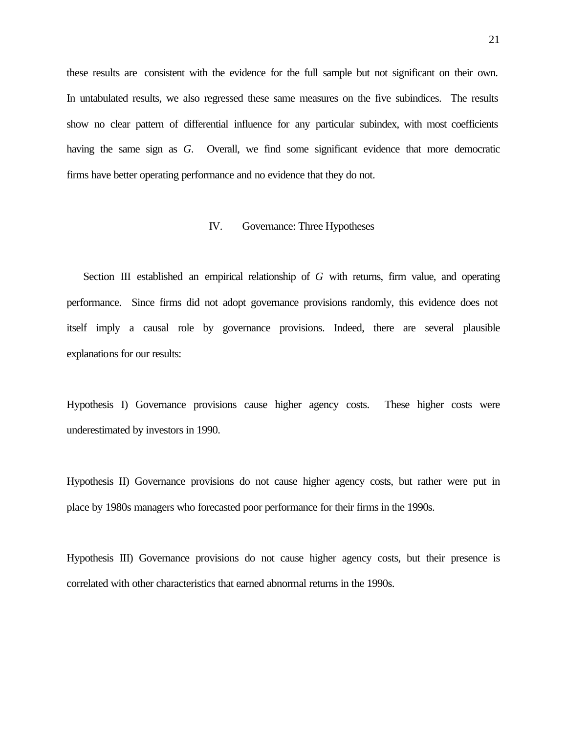these results are consistent with the evidence for the full sample but not significant on their own. In untabulated results, we also regressed these same measures on the five subindices. The results show no clear pattern of differential influence for any particular subindex, with most coefficients having the same sign as *G*. Overall, we find some significant evidence that more democratic firms have better operating performance and no evidence that they do not.

## IV. Governance: Three Hypotheses

Section III established an empirical relationship of *G* with returns, firm value, and operating performance. Since firms did not adopt governance provisions randomly, this evidence does not itself imply a causal role by governance provisions. Indeed, there are several plausible explanations for our results:

Hypothesis I) Governance provisions cause higher agency costs. These higher costs were underestimated by investors in 1990.

Hypothesis II) Governance provisions do not cause higher agency costs, but rather were put in place by 1980s managers who forecasted poor performance for their firms in the 1990s.

Hypothesis III) Governance provisions do not cause higher agency costs, but their presence is correlated with other characteristics that earned abnormal returns in the 1990s.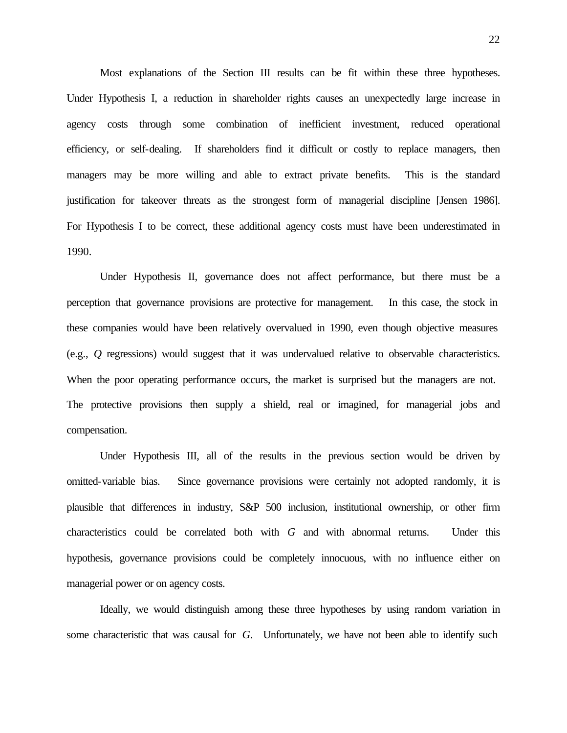Most explanations of the Section III results can be fit within these three hypotheses. Under Hypothesis I, a reduction in shareholder rights causes an unexpectedly large increase in agency costs through some combination of inefficient investment, reduced operational efficiency, or self-dealing. If shareholders find it difficult or costly to replace managers, then managers may be more willing and able to extract private benefits. This is the standard justification for takeover threats as the strongest form of managerial discipline [Jensen 1986]. For Hypothesis I to be correct, these additional agency costs must have been underestimated in 1990.

Under Hypothesis II, governance does not affect performance, but there must be a perception that governance provisions are protective for management. In this case, the stock in these companies would have been relatively overvalued in 1990, even though objective measures (e.g., *Q* regressions) would suggest that it was undervalued relative to observable characteristics. When the poor operating performance occurs, the market is surprised but the managers are not. The protective provisions then supply a shield, real or imagined, for managerial jobs and compensation.

Under Hypothesis III, all of the results in the previous section would be driven by omitted-variable bias. Since governance provisions were certainly not adopted randomly, it is plausible that differences in industry, S&P 500 inclusion, institutional ownership, or other firm characteristics could be correlated both with *G* and with abnormal returns. Under this hypothesis, governance provisions could be completely innocuous, with no influence either on managerial power or on agency costs.

Ideally, we would distinguish among these three hypotheses by using random variation in some characteristic that was causal for *G.* Unfortunately, we have not been able to identify such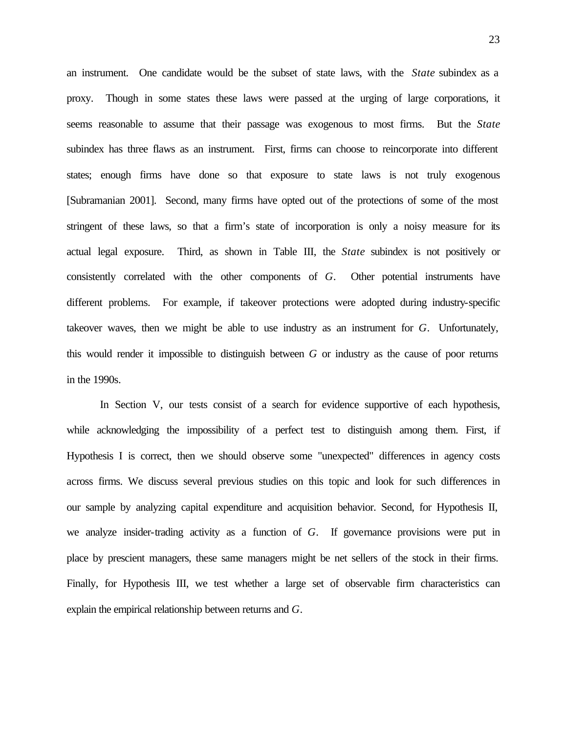an instrument. One candidate would be the subset of state laws, with the *State* subindex as a proxy. Though in some states these laws were passed at the urging of large corporations, it seems reasonable to assume that their passage was exogenous to most firms. But the *State* subindex has three flaws as an instrument. First, firms can choose to reincorporate into different states; enough firms have done so that exposure to state laws is not truly exogenous [Subramanian 2001]. Second, many firms have opted out of the protections of some of the most stringent of these laws, so that a firm's state of incorporation is only a noisy measure for its actual legal exposure. Third, as shown in Table III, the *State* subindex is not positively or consistently correlated with the other components of *G*. Other potential instruments have different problems. For example, if takeover protections were adopted during industry-specific takeover waves, then we might be able to use industry as an instrument for *G*. Unfortunately, this would render it impossible to distinguish between *G* or industry as the cause of poor returns in the 1990s.

In Section V, our tests consist of a search for evidence supportive of each hypothesis, while acknowledging the impossibility of a perfect test to distinguish among them. First, if Hypothesis I is correct, then we should observe some "unexpected" differences in agency costs across firms. We discuss several previous studies on this topic and look for such differences in our sample by analyzing capital expenditure and acquisition behavior. Second, for Hypothesis II, we analyze insider-trading activity as a function of *G*. If governance provisions were put in place by prescient managers, these same managers might be net sellers of the stock in their firms. Finally, for Hypothesis III, we test whether a large set of observable firm characteristics can explain the empirical relationship between returns and *G*.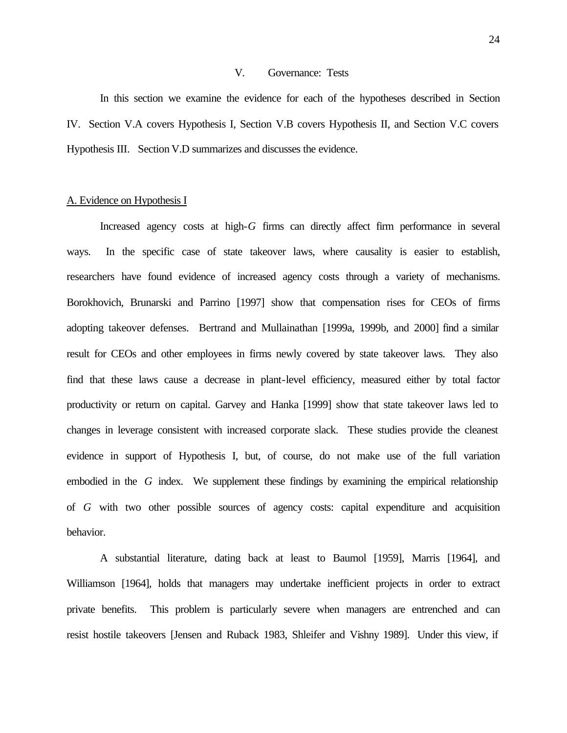## V. Governance: Tests

In this section we examine the evidence for each of the hypotheses described in Section IV. Section V.A covers Hypothesis I, Section V.B covers Hypothesis II, and Section V.C covers Hypothesis III. Section V.D summarizes and discusses the evidence.

## A. Evidence on Hypothesis I

Increased agency costs at high-*G* firms can directly affect firm performance in several ways. In the specific case of state takeover laws, where causality is easier to establish, researchers have found evidence of increased agency costs through a variety of mechanisms. Borokhovich, Brunarski and Parrino [1997] show that compensation rises for CEOs of firms adopting takeover defenses. Bertrand and Mullainathan [1999a, 1999b, and 2000] find a similar result for CEOs and other employees in firms newly covered by state takeover laws. They also find that these laws cause a decrease in plant-level efficiency, measured either by total factor productivity or return on capital. Garvey and Hanka [1999] show that state takeover laws led to changes in leverage consistent with increased corporate slack. These studies provide the cleanest evidence in support of Hypothesis I, but, of course, do not make use of the full variation embodied in the *G* index. We supplement these findings by examining the empirical relationship of *G* with two other possible sources of agency costs: capital expenditure and acquisition behavior.

A substantial literature, dating back at least to Baumol [1959], Marris [1964], and Williamson [1964], holds that managers may undertake inefficient projects in order to extract private benefits. This problem is particularly severe when managers are entrenched and can resist hostile takeovers [Jensen and Ruback 1983, Shleifer and Vishny 1989]. Under this view, if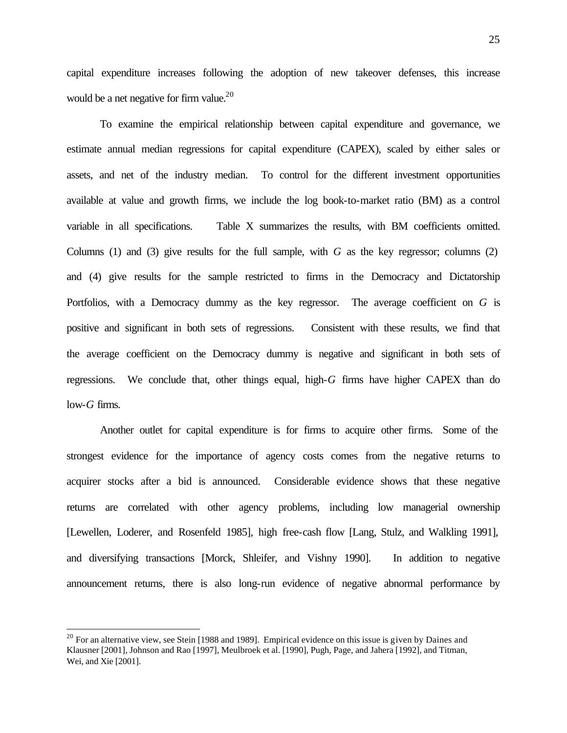capital expenditure increases following the adoption of new takeover defenses, this increase would be a net negative for firm value.<sup>20</sup>

To examine the empirical relationship between capital expenditure and governance, we estimate annual median regressions for capital expenditure (CAPEX), scaled by either sales or assets, and net of the industry median. To control for the different investment opportunities available at value and growth firms, we include the log book-to-market ratio (BM) as a control variable in all specifications. Table X summarizes the results, with BM coefficients omitted. Columns  $(1)$  and  $(3)$  give results for the full sample, with *G* as the key regressor; columns  $(2)$ and (4) give results for the sample restricted to firms in the Democracy and Dictatorship Portfolios, with a Democracy dummy as the key regressor. The average coefficient on *G* is positive and significant in both sets of regressions. Consistent with these results, we find that the average coefficient on the Democracy dummy is negative and significant in both sets of regressions. We conclude that, other things equal, high-*G* firms have higher CAPEX than do low-*G* firms.

Another outlet for capital expenditure is for firms to acquire other firms. Some of the strongest evidence for the importance of agency costs comes from the negative returns to acquirer stocks after a bid is announced. Considerable evidence shows that these negative returns are correlated with other agency problems, including low managerial ownership [Lewellen, Loderer, and Rosenfeld 1985], high free-cash flow [Lang, Stulz, and Walkling 1991], and diversifying transactions [Morck, Shleifer, and Vishny 1990]. In addition to negative announcement returns, there is also long-run evidence of negative abnormal performance by

 $^{20}$  For an alternative view, see Stein [1988 and 1989]. Empirical evidence on this issue is given by Daines and Klausner [2001], Johnson and Rao [1997], Meulbroek et al. [1990], Pugh, Page, and Jahera [1992], and Titman, Wei, and Xie [2001].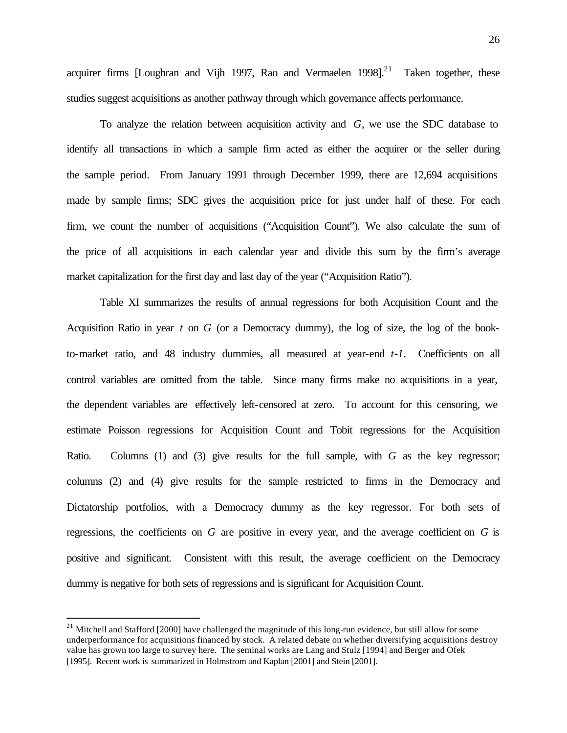acquirer firms [Loughran and Vijh 1997, Rao and Vermaelen  $1998$ ]<sup>21</sup> Taken together, these studies suggest acquisitions as another pathway through which governance affects performance.

To analyze the relation between acquisition activity and *G*, we use the SDC database to identify all transactions in which a sample firm acted as either the acquirer or the seller during the sample period. From January 1991 through December 1999, there are 12,694 acquisitions made by sample firms; SDC gives the acquisition price for just under half of these. For each firm, we count the number of acquisitions ("Acquisition Count"). We also calculate the sum of the price of all acquisitions in each calendar year and divide this sum by the firm's average market capitalization for the first day and last day of the year ("Acquisition Ratio").

Table XI summarizes the results of annual regressions for both Acquisition Count and the Acquisition Ratio in year *t* on *G* (or a Democracy dummy), the log of size, the log of the bookto-market ratio, and 48 industry dummies, all measured at year-end *t-1*. Coefficients on all control variables are omitted from the table. Since many firms make no acquisitions in a year, the dependent variables are effectively left-censored at zero. To account for this censoring, we estimate Poisson regressions for Acquisition Count and Tobit regressions for the Acquisition Ratio. Columns (1) and (3) give results for the full sample, with *G* as the key regressor; columns (2) and (4) give results for the sample restricted to firms in the Democracy and Dictatorship portfolios, with a Democracy dummy as the key regressor. For both sets of regressions, the coefficients on *G* are positive in every year, and the average coefficient on *G* is positive and significant. Consistent with this result, the average coefficient on the Democracy dummy is negative for both sets of regressions and is significant for Acquisition Count.

<sup>&</sup>lt;sup>21</sup> Mitchell and Stafford [2000] have challenged the magnitude of this long-run evidence, but still allow for some underperformance for acquisitions financed by stock. A related debate on whether diversifying acquisitions destroy value has grown too large to survey here. The seminal works are Lang and Stulz [1994] and Berger and Ofek [1995]. Recent work is summarized in Holmstrom and Kaplan [2001] and Stein [2001].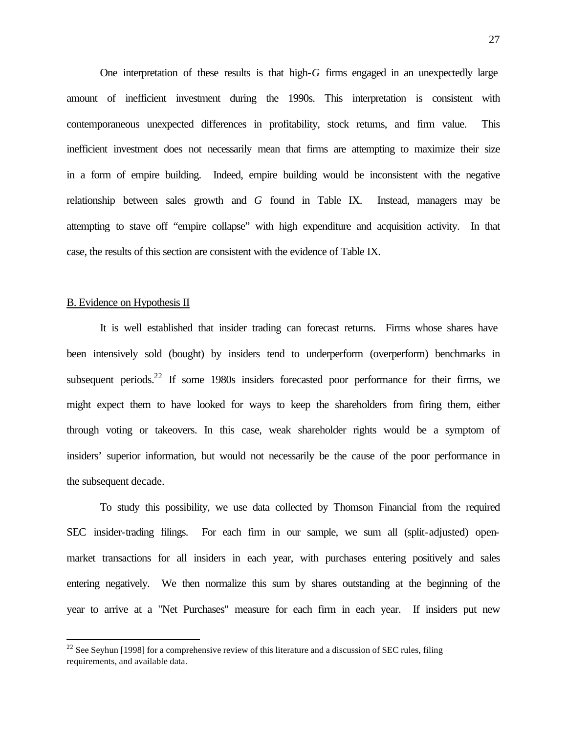One interpretation of these results is that high-*G* firms engaged in an unexpectedly large amount of inefficient investment during the 1990s. This interpretation is consistent with contemporaneous unexpected differences in profitability, stock returns, and firm value. This inefficient investment does not necessarily mean that firms are attempting to maximize their size in a form of empire building. Indeed, empire building would be inconsistent with the negative relationship between sales growth and *G* found in Table IX. Instead, managers may be attempting to stave off "empire collapse" with high expenditure and acquisition activity. In that case, the results of this section are consistent with the evidence of Table IX.

#### B. Evidence on Hypothesis II

 $\overline{a}$ 

It is well established that insider trading can forecast returns. Firms whose shares have been intensively sold (bought) by insiders tend to underperform (overperform) benchmarks in subsequent periods.<sup>22</sup> If some 1980s insiders forecasted poor performance for their firms, we might expect them to have looked for ways to keep the shareholders from firing them, either through voting or takeovers. In this case, weak shareholder rights would be a symptom of insiders' superior information, but would not necessarily be the cause of the poor performance in the subsequent decade.

To study this possibility, we use data collected by Thomson Financial from the required SEC insider-trading filings. For each firm in our sample, we sum all (split-adjusted) openmarket transactions for all insiders in each year, with purchases entering positively and sales entering negatively. We then normalize this sum by shares outstanding at the beginning of the year to arrive at a "Net Purchases" measure for each firm in each year. If insiders put new

 $22$  See Seyhun [1998] for a comprehensive review of this literature and a discussion of SEC rules, filing requirements, and available data.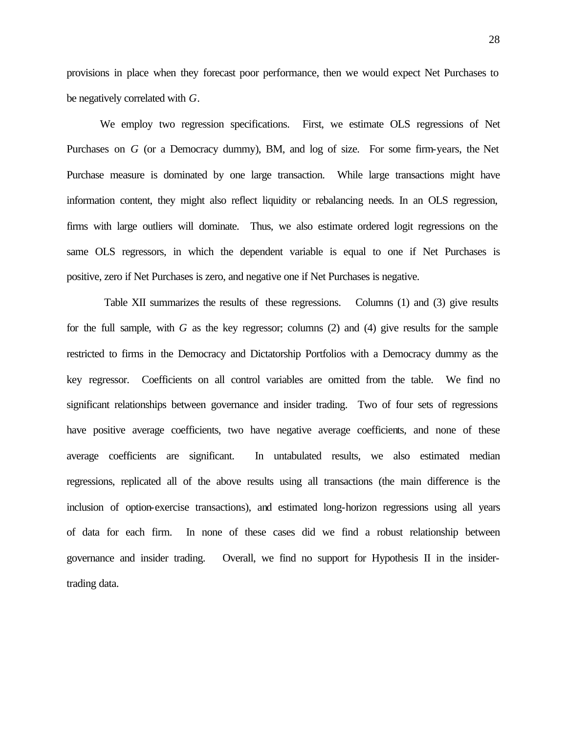provisions in place when they forecast poor performance, then we would expect Net Purchases to be negatively correlated with *G*.

We employ two regression specifications. First, we estimate OLS regressions of Net Purchases on *G* (or a Democracy dummy), BM, and log of size. For some firm-years, the Net Purchase measure is dominated by one large transaction. While large transactions might have information content, they might also reflect liquidity or rebalancing needs. In an OLS regression, firms with large outliers will dominate. Thus, we also estimate ordered logit regressions on the same OLS regressors, in which the dependent variable is equal to one if Net Purchases is positive, zero if Net Purchases is zero, and negative one if Net Purchases is negative.

 Table XII summarizes the results of these regressions. Columns (1) and (3) give results for the full sample, with *G* as the key regressor; columns (2) and (4) give results for the sample restricted to firms in the Democracy and Dictatorship Portfolios with a Democracy dummy as the key regressor. Coefficients on all control variables are omitted from the table. We find no significant relationships between governance and insider trading. Two of four sets of regressions have positive average coefficients, two have negative average coefficients, and none of these average coefficients are significant. In untabulated results, we also estimated median regressions, replicated all of the above results using all transactions (the main difference is the inclusion of option-exercise transactions), and estimated long-horizon regressions using all years of data for each firm. In none of these cases did we find a robust relationship between governance and insider trading. Overall, we find no support for Hypothesis II in the insidertrading data.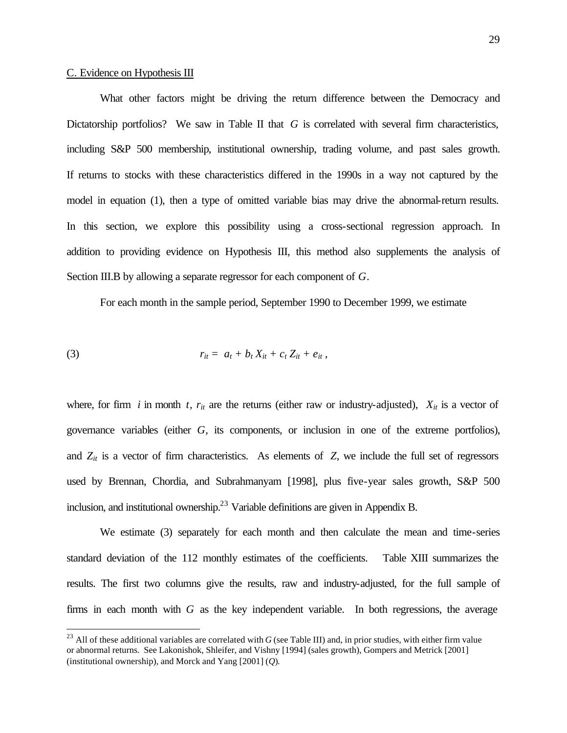### C. Evidence on Hypothesis III

 $\overline{a}$ 

What other factors might be driving the return difference between the Democracy and Dictatorship portfolios? We saw in Table II that *G* is correlated with several firm characteristics, including S&P 500 membership, institutional ownership, trading volume, and past sales growth. If returns to stocks with these characteristics differed in the 1990s in a way not captured by the model in equation (1), then a type of omitted variable bias may drive the abnormal-return results. In this section, we explore this possibility using a cross-sectional regression approach. In addition to providing evidence on Hypothesis III, this method also supplements the analysis of Section III.B by allowing a separate regressor for each component of *G*.

For each month in the sample period, September 1990 to December 1999, we estimate

(3) 
$$
r_{it} = a_t + b_t X_{it} + c_t Z_{it} + e_{it},
$$

where, for firm *i* in month *t*,  $r_{it}$  are the returns (either raw or industry-adjusted),  $X_{it}$  is a vector of governance variables (either *G*, its components, or inclusion in one of the extreme portfolios), and  $Z_{it}$  is a vector of firm characteristics. As elements of  $Z$ , we include the full set of regressors used by Brennan, Chordia, and Subrahmanyam [1998], plus five-year sales growth, S&P 500 inclusion, and institutional ownership.<sup>23</sup> Variable definitions are given in Appendix B.

We estimate (3) separately for each month and then calculate the mean and time-series standard deviation of the 112 monthly estimates of the coefficients. Table XIII summarizes the results. The first two columns give the results, raw and industry-adjusted, for the full sample of firms in each month with *G* as the key independent variable. In both regressions, the average

<sup>&</sup>lt;sup>23</sup> All of these additional variables are correlated with  $G$  (see Table III) and, in prior studies, with either firm value or abnormal returns. See Lakonishok, Shleifer, and Vishny [1994] (sales growth), Gompers and Metrick [2001] (institutional ownership), and Morck and Yang [2001] (*Q*).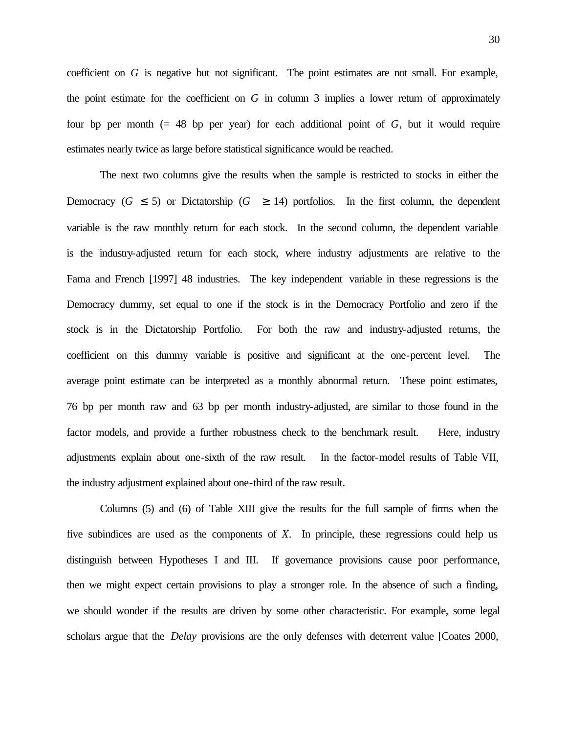coefficient on *G* is negative but not significant. The point estimates are not small. For example, the point estimate for the coefficient on *G* in column 3 implies a lower return of approximately four bp per month (= 48 bp per year) for each additional point of *G*, but it would require estimates nearly twice as large before statistical significance would be reached.

The next two columns give the results when the sample is restricted to stocks in either the Democracy  $(G \le 5)$  or Dictatorship  $(G \ge 14)$  portfolios. In the first column, the dependent variable is the raw monthly return for each stock. In the second column, the dependent variable is the industry-adjusted return for each stock, where industry adjustments are relative to the Fama and French [1997] 48 industries. The key independent variable in these regressions is the Democracy dummy, set equal to one if the stock is in the Democracy Portfolio and zero if the stock is in the Dictatorship Portfolio. For both the raw and industry-adjusted returns, the coefficient on this dummy variable is positive and significant at the one-percent level. The average point estimate can be interpreted as a monthly abnormal return. These point estimates, 76 bp per month raw and 63 bp per month industry-adjusted, are similar to those found in the factor models, and provide a further robustness check to the benchmark result. Here, industry adjustments explain about one-sixth of the raw result. In the factor-model results of Table VII, the industry adjustment explained about one-third of the raw result.

Columns (5) and (6) of Table XIII give the results for the full sample of firms when the five subindices are used as the components of *X*. In principle, these regressions could help us distinguish between Hypotheses I and III. If governance provisions cause poor performance, then we might expect certain provisions to play a stronger role. In the absence of such a finding, we should wonder if the results are driven by some other characteristic. For example, some legal scholars argue that the *Delay* provisions are the only defenses with deterrent value [Coates 2000,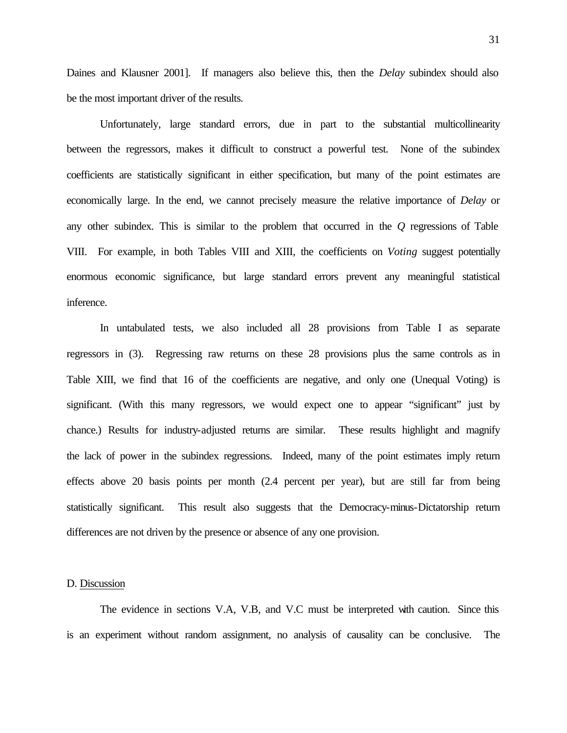Daines and Klausner 2001]. If managers also believe this, then the *Delay* subindex should also be the most important driver of the results.

Unfortunately, large standard errors, due in part to the substantial multicollinearity between the regressors, makes it difficult to construct a powerful test. None of the subindex coefficients are statistically significant in either specification, but many of the point estimates are economically large. In the end, we cannot precisely measure the relative importance of *Delay* or any other subindex. This is similar to the problem that occurred in the *Q* regressions of Table VIII. For example, in both Tables VIII and XIII, the coefficients on *Voting* suggest potentially enormous economic significance, but large standard errors prevent any meaningful statistical inference.

In untabulated tests, we also included all 28 provisions from Table I as separate regressors in (3). Regressing raw returns on these 28 provisions plus the same controls as in Table XIII, we find that 16 of the coefficients are negative, and only one (Unequal Voting) is significant. (With this many regressors, we would expect one to appear "significant" just by chance.) Results for industry-adjusted returns are similar. These results highlight and magnify the lack of power in the subindex regressions. Indeed, many of the point estimates imply return effects above 20 basis points per month (2.4 percent per year), but are still far from being statistically significant. This result also suggests that the Democracy-minus-Dictatorship return differences are not driven by the presence or absence of any one provision.

#### D. Discussion

The evidence in sections V.A, V.B, and V.C must be interpreted with caution. Since this is an experiment without random assignment, no analysis of causality can be conclusive. The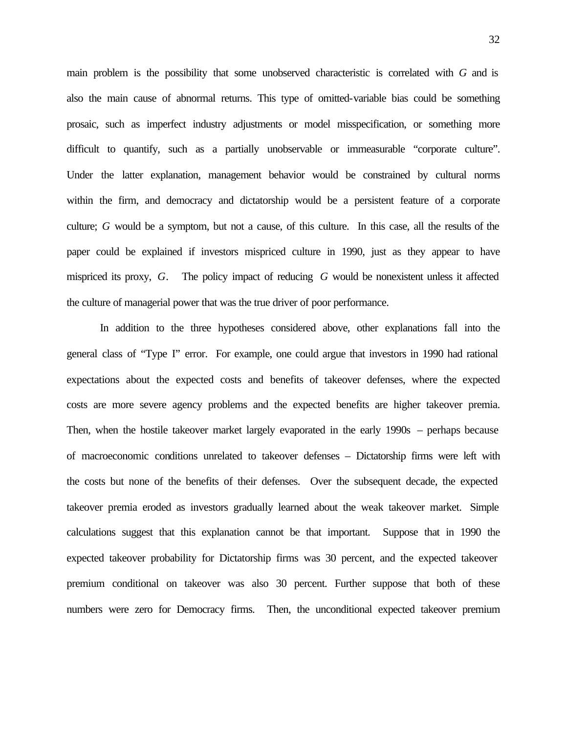main problem is the possibility that some unobserved characteristic is correlated with *G* and is also the main cause of abnormal returns. This type of omitted-variable bias could be something prosaic, such as imperfect industry adjustments or model misspecification, or something more difficult to quantify, such as a partially unobservable or immeasurable "corporate culture". Under the latter explanation, management behavior would be constrained by cultural norms within the firm, and democracy and dictatorship would be a persistent feature of a corporate culture; *G* would be a symptom, but not a cause, of this culture. In this case, all the results of the paper could be explained if investors mispriced culture in 1990, just as they appear to have mispriced its proxy, *G*. The policy impact of reducing *G* would be nonexistent unless it affected the culture of managerial power that was the true driver of poor performance.

In addition to the three hypotheses considered above, other explanations fall into the general class of "Type I" error. For example, one could argue that investors in 1990 had rational expectations about the expected costs and benefits of takeover defenses, where the expected costs are more severe agency problems and the expected benefits are higher takeover premia. Then, when the hostile takeover market largely evaporated in the early 1990s – perhaps because of macroeconomic conditions unrelated to takeover defenses – Dictatorship firms were left with the costs but none of the benefits of their defenses. Over the subsequent decade, the expected takeover premia eroded as investors gradually learned about the weak takeover market. Simple calculations suggest that this explanation cannot be that important. Suppose that in 1990 the expected takeover probability for Dictatorship firms was 30 percent, and the expected takeover premium conditional on takeover was also 30 percent. Further suppose that both of these numbers were zero for Democracy firms. Then, the unconditional expected takeover premium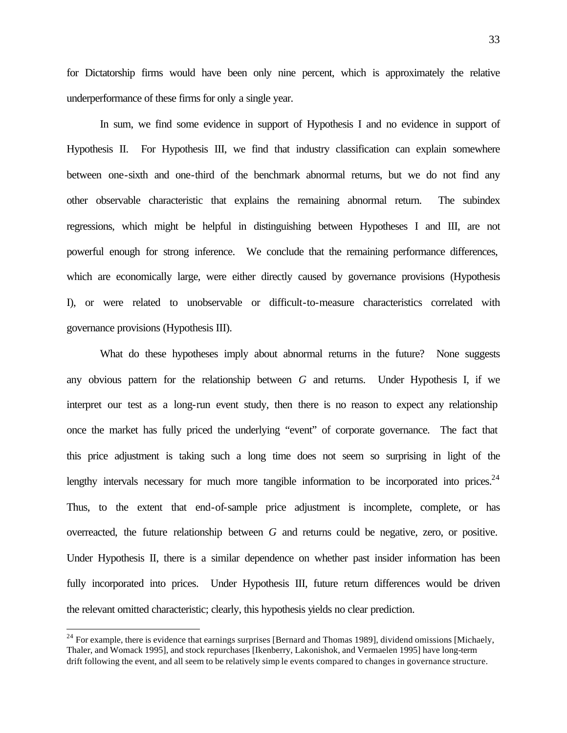for Dictatorship firms would have been only nine percent, which is approximately the relative underperformance of these firms for only a single year.

In sum, we find some evidence in support of Hypothesis I and no evidence in support of Hypothesis II. For Hypothesis III, we find that industry classification can explain somewhere between one-sixth and one-third of the benchmark abnormal returns, but we do not find any other observable characteristic that explains the remaining abnormal return. The subindex regressions, which might be helpful in distinguishing between Hypotheses I and III, are not powerful enough for strong inference. We conclude that the remaining performance differences, which are economically large, were either directly caused by governance provisions (Hypothesis I), or were related to unobservable or difficult-to-measure characteristics correlated with governance provisions (Hypothesis III).

What do these hypotheses imply about abnormal returns in the future? None suggests any obvious pattern for the relationship between *G* and returns. Under Hypothesis I, if we interpret our test as a long-run event study, then there is no reason to expect any relationship once the market has fully priced the underlying "event" of corporate governance. The fact that this price adjustment is taking such a long time does not seem so surprising in light of the lengthy intervals necessary for much more tangible information to be incorporated into prices.  $24$ Thus, to the extent that end-of-sample price adjustment is incomplete, complete, or has overreacted, the future relationship between *G* and returns could be negative, zero, or positive. Under Hypothesis II, there is a similar dependence on whether past insider information has been fully incorporated into prices. Under Hypothesis III, future return differences would be driven the relevant omitted characteristic; clearly, this hypothesis yields no clear prediction.

 $24$  For example, there is evidence that earnings surprises [Bernard and Thomas 1989], dividend omissions [Michaely, Thaler, and Womack 1995], and stock repurchases [Ikenberry, Lakonishok, and Vermaelen 1995] have long-term drift following the event, and all seem to be relatively simp le events compared to changes in governance structure.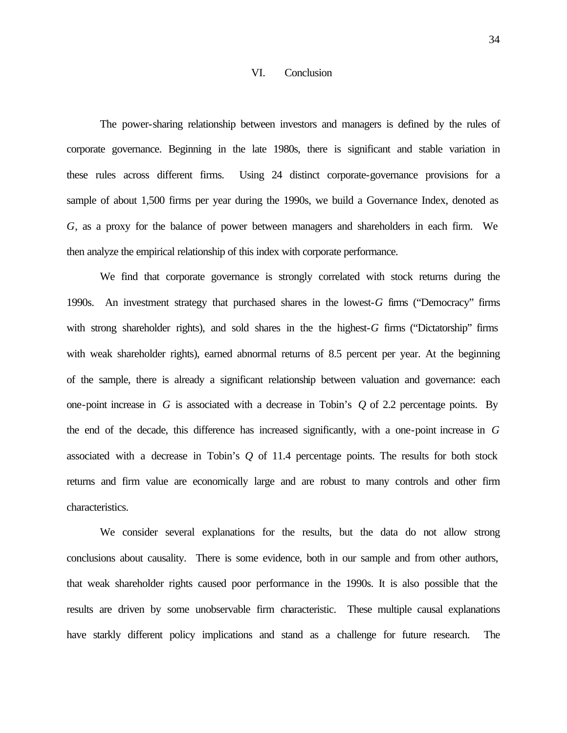## VI. Conclusion

The power-sharing relationship between investors and managers is defined by the rules of corporate governance. Beginning in the late 1980s, there is significant and stable variation in these rules across different firms. Using 24 distinct corporate-governance provisions for a sample of about 1,500 firms per year during the 1990s, we build a Governance Index, denoted as *G*, as a proxy for the balance of power between managers and shareholders in each firm. We then analyze the empirical relationship of this index with corporate performance.

We find that corporate governance is strongly correlated with stock returns during the 1990s. An investment strategy that purchased shares in the lowest-*G* firms ("Democracy" firms with strong shareholder rights), and sold shares in the the highest-*G* firms ("Dictatorship" firms with weak shareholder rights), earned abnormal returns of 8.5 percent per year. At the beginning of the sample, there is already a significant relationship between valuation and governance: each one-point increase in *G* is associated with a decrease in Tobin's *Q* of 2.2 percentage points. By the end of the decade, this difference has increased significantly, with a one-point increase in *G* associated with a decrease in Tobin's *Q* of 11.4 percentage points. The results for both stock returns and firm value are economically large and are robust to many controls and other firm characteristics.

We consider several explanations for the results, but the data do not allow strong conclusions about causality. There is some evidence, both in our sample and from other authors, that weak shareholder rights caused poor performance in the 1990s. It is also possible that the results are driven by some unobservable firm characteristic. These multiple causal explanations have starkly different policy implications and stand as a challenge for future research. The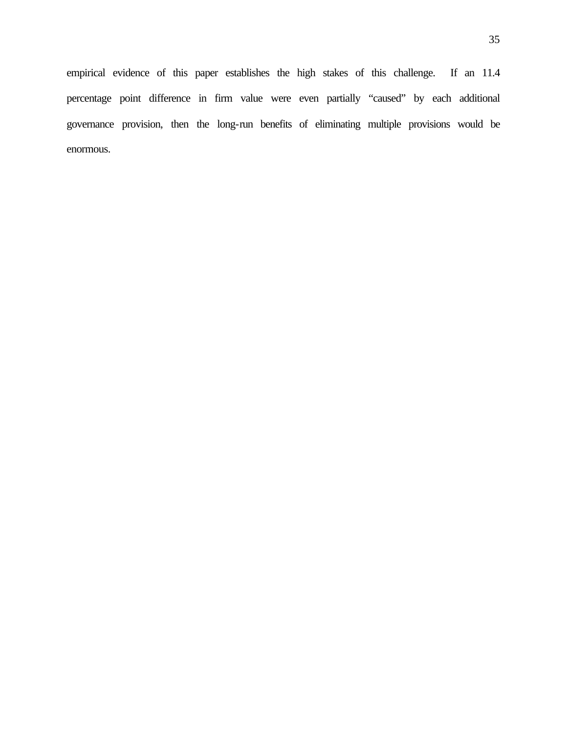empirical evidence of this paper establishes the high stakes of this challenge. If an 11.4 percentage point difference in firm value were even partially "caused" by each additional governance provision, then the long-run benefits of eliminating multiple provisions would be enormous.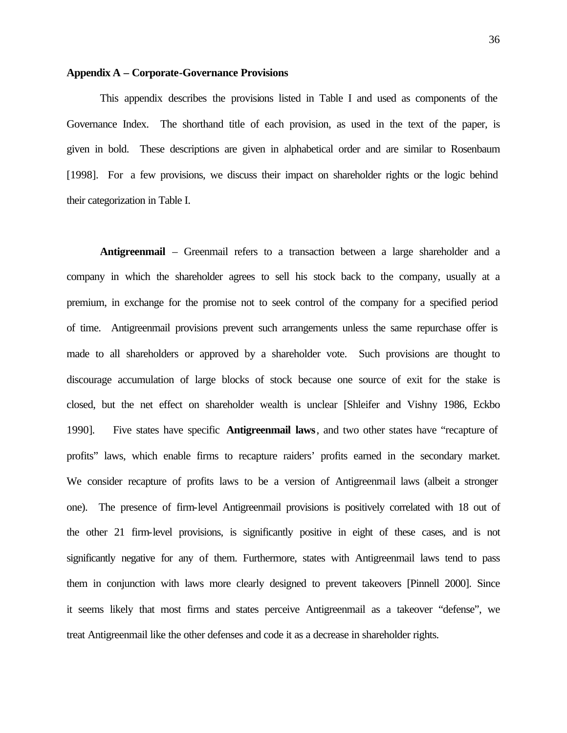## **Appendix A – Corporate-Governance Provisions**

This appendix describes the provisions listed in Table I and used as components of the Governance Index. The shorthand title of each provision, as used in the text of the paper, is given in bold. These descriptions are given in alphabetical order and are similar to Rosenbaum [1998]. For a few provisions, we discuss their impact on shareholder rights or the logic behind their categorization in Table I.

**Antigreenmail** – Greenmail refers to a transaction between a large shareholder and a company in which the shareholder agrees to sell his stock back to the company, usually at a premium, in exchange for the promise not to seek control of the company for a specified period of time. Antigreenmail provisions prevent such arrangements unless the same repurchase offer is made to all shareholders or approved by a shareholder vote. Such provisions are thought to discourage accumulation of large blocks of stock because one source of exit for the stake is closed, but the net effect on shareholder wealth is unclear [Shleifer and Vishny 1986, Eckbo 1990]. Five states have specific **Antigreenmail laws**, and two other states have "recapture of profits" laws, which enable firms to recapture raiders' profits earned in the secondary market. We consider recapture of profits laws to be a version of Antigreenmail laws (albeit a stronger one). The presence of firm-level Antigreenmail provisions is positively correlated with 18 out of the other 21 firm-level provisions, is significantly positive in eight of these cases, and is not significantly negative for any of them. Furthermore, states with Antigreenmail laws tend to pass them in conjunction with laws more clearly designed to prevent takeovers [Pinnell 2000]. Since it seems likely that most firms and states perceive Antigreenmail as a takeover "defense", we treat Antigreenmail like the other defenses and code it as a decrease in shareholder rights.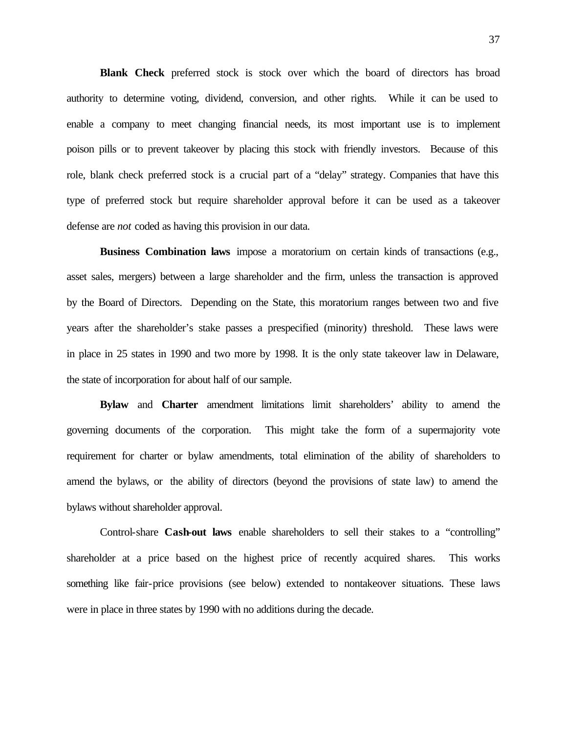**Blank Check** preferred stock is stock over which the board of directors has broad authority to determine voting, dividend, conversion, and other rights. While it can be used to enable a company to meet changing financial needs, its most important use is to implement poison pills or to prevent takeover by placing this stock with friendly investors. Because of this role, blank check preferred stock is a crucial part of a "delay" strategy. Companies that have this type of preferred stock but require shareholder approval before it can be used as a takeover defense are *not* coded as having this provision in our data.

**Business Combination laws** impose a moratorium on certain kinds of transactions (e.g., asset sales, mergers) between a large shareholder and the firm, unless the transaction is approved by the Board of Directors. Depending on the State, this moratorium ranges between two and five years after the shareholder's stake passes a prespecified (minority) threshold. These laws were in place in 25 states in 1990 and two more by 1998. It is the only state takeover law in Delaware, the state of incorporation for about half of our sample.

**Bylaw** and **Charter** amendment limitations limit shareholders' ability to amend the governing documents of the corporation. This might take the form of a supermajority vote requirement for charter or bylaw amendments, total elimination of the ability of shareholders to amend the bylaws, or the ability of directors (beyond the provisions of state law) to amend the bylaws without shareholder approval.

Control-share **Cash-out laws** enable shareholders to sell their stakes to a "controlling" shareholder at a price based on the highest price of recently acquired shares. This works something like fair-price provisions (see below) extended to nontakeover situations. These laws were in place in three states by 1990 with no additions during the decade.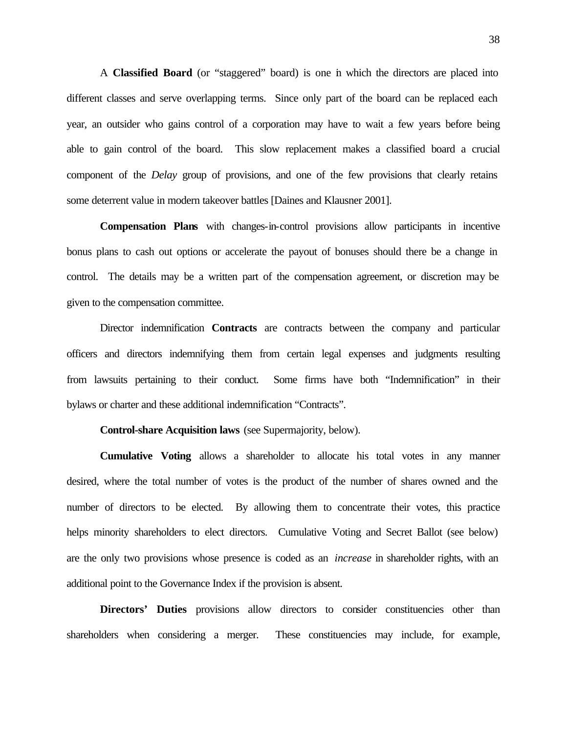A **Classified Board** (or "staggered" board) is one in which the directors are placed into different classes and serve overlapping terms. Since only part of the board can be replaced each year, an outsider who gains control of a corporation may have to wait a few years before being able to gain control of the board. This slow replacement makes a classified board a crucial component of the *Delay* group of provisions, and one of the few provisions that clearly retains some deterrent value in modern takeover battles [Daines and Klausner 2001].

**Compensation Plans** with changes-in-control provisions allow participants in incentive bonus plans to cash out options or accelerate the payout of bonuses should there be a change in control. The details may be a written part of the compensation agreement, or discretion may be given to the compensation committee.

Director indemnification **Contracts** are contracts between the company and particular officers and directors indemnifying them from certain legal expenses and judgments resulting from lawsuits pertaining to their conduct. Some firms have both "Indemnification" in their bylaws or charter and these additional indemnification "Contracts".

#### **Control-share Acquisition laws** (see Supermajority, below).

**Cumulative Voting** allows a shareholder to allocate his total votes in any manner desired, where the total number of votes is the product of the number of shares owned and the number of directors to be elected. By allowing them to concentrate their votes, this practice helps minority shareholders to elect directors. Cumulative Voting and Secret Ballot (see below) are the only two provisions whose presence is coded as an *increase* in shareholder rights, with an additional point to the Governance Index if the provision is absent.

**Directors' Duties** provisions allow directors to consider constituencies other than shareholders when considering a merger. These constituencies may include, for example,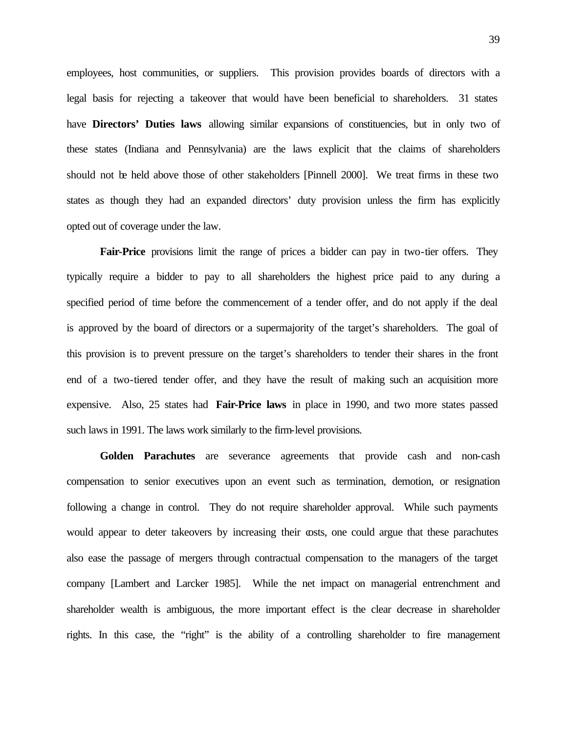employees, host communities, or suppliers. This provision provides boards of directors with a legal basis for rejecting a takeover that would have been beneficial to shareholders. 31 states have **Directors' Duties laws** allowing similar expansions of constituencies, but in only two of these states (Indiana and Pennsylvania) are the laws explicit that the claims of shareholders should not be held above those of other stakeholders [Pinnell 2000]. We treat firms in these two states as though they had an expanded directors' duty provision unless the firm has explicitly opted out of coverage under the law.

**Fair-Price** provisions limit the range of prices a bidder can pay in two-tier offers. They typically require a bidder to pay to all shareholders the highest price paid to any during a specified period of time before the commencement of a tender offer, and do not apply if the deal is approved by the board of directors or a supermajority of the target's shareholders. The goal of this provision is to prevent pressure on the target's shareholders to tender their shares in the front end of a two-tiered tender offer, and they have the result of making such an acquisition more expensive. Also, 25 states had **Fair-Price laws** in place in 1990, and two more states passed such laws in 1991. The laws work similarly to the firm-level provisions.

**Golden Parachutes** are severance agreements that provide cash and non-cash compensation to senior executives upon an event such as termination, demotion, or resignation following a change in control. They do not require shareholder approval. While such payments would appear to deter takeovers by increasing their costs, one could argue that these parachutes also ease the passage of mergers through contractual compensation to the managers of the target company [Lambert and Larcker 1985]. While the net impact on managerial entrenchment and shareholder wealth is ambiguous, the more important effect is the clear decrease in shareholder rights. In this case, the "right" is the ability of a controlling shareholder to fire management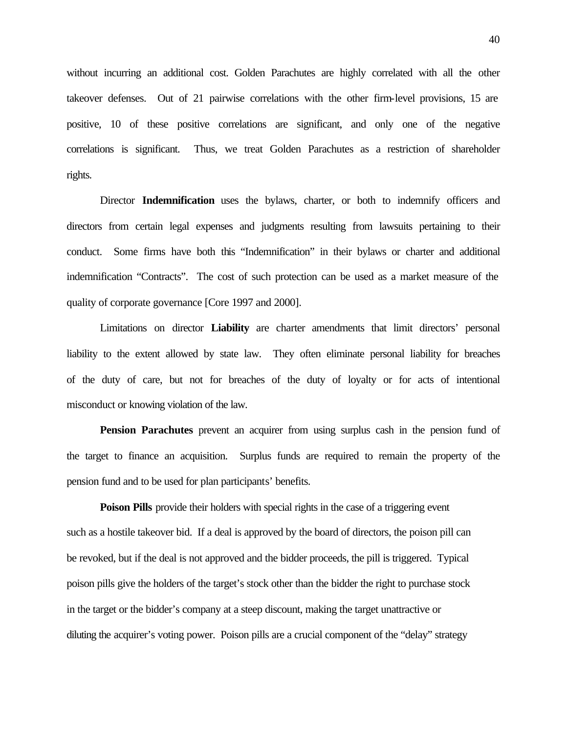without incurring an additional cost. Golden Parachutes are highly correlated with all the other takeover defenses. Out of 21 pairwise correlations with the other firm-level provisions, 15 are positive, 10 of these positive correlations are significant, and only one of the negative correlations is significant. Thus, we treat Golden Parachutes as a restriction of shareholder rights.

Director **Indemnification** uses the bylaws, charter, or both to indemnify officers and directors from certain legal expenses and judgments resulting from lawsuits pertaining to their conduct. Some firms have both this "Indemnification" in their bylaws or charter and additional indemnification "Contracts". The cost of such protection can be used as a market measure of the quality of corporate governance [Core 1997 and 2000].

Limitations on director **Liability** are charter amendments that limit directors' personal liability to the extent allowed by state law. They often eliminate personal liability for breaches of the duty of care, but not for breaches of the duty of loyalty or for acts of intentional misconduct or knowing violation of the law.

**Pension Parachutes** prevent an acquirer from using surplus cash in the pension fund of the target to finance an acquisition. Surplus funds are required to remain the property of the pension fund and to be used for plan participants' benefits.

**Poison Pills** provide their holders with special rights in the case of a triggering event such as a hostile takeover bid. If a deal is approved by the board of directors, the poison pill can be revoked, but if the deal is not approved and the bidder proceeds, the pill is triggered. Typical poison pills give the holders of the target's stock other than the bidder the right to purchase stock in the target or the bidder's company at a steep discount, making the target unattractive or diluting the acquirer's voting power. Poison pills are a crucial component of the "delay" strategy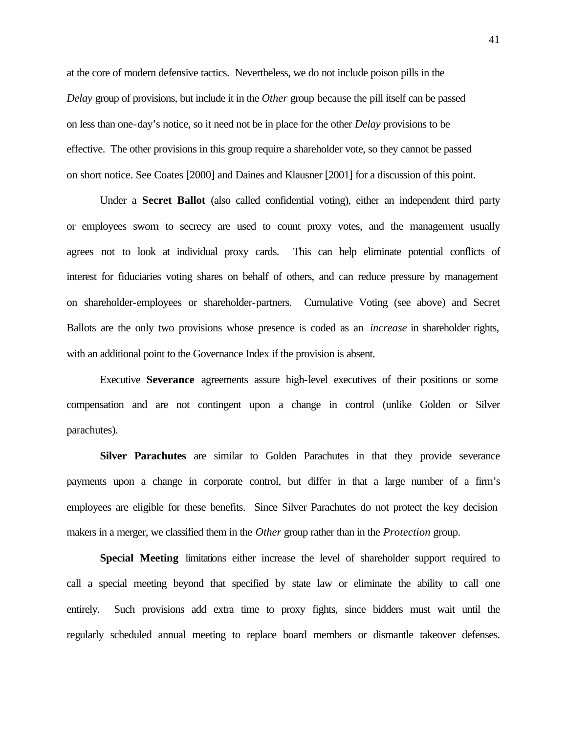at the core of modern defensive tactics. Nevertheless, we do not include poison pills in the *Delay* group of provisions, but include it in the *Other* group because the pill itself can be passed on less than one-day's notice, so it need not be in place for the other *Delay* provisions to be effective. The other provisions in this group require a shareholder vote, so they cannot be passed on short notice. See Coates [2000] and Daines and Klausner [2001] for a discussion of this point.

Under a **Secret Ballot** (also called confidential voting), either an independent third party or employees sworn to secrecy are used to count proxy votes, and the management usually agrees not to look at individual proxy cards. This can help eliminate potential conflicts of interest for fiduciaries voting shares on behalf of others, and can reduce pressure by management on shareholder-employees or shareholder-partners. Cumulative Voting (see above) and Secret Ballots are the only two provisions whose presence is coded as an *increase* in shareholder rights, with an additional point to the Governance Index if the provision is absent.

Executive **Severance** agreements assure high-level executives of their positions or some compensation and are not contingent upon a change in control (unlike Golden or Silver parachutes).

**Silver Parachutes** are similar to Golden Parachutes in that they provide severance payments upon a change in corporate control, but differ in that a large number of a firm's employees are eligible for these benefits. Since Silver Parachutes do not protect the key decision makers in a merger, we classified them in the *Other* group rather than in the *Protection* group.

**Special Meeting** limitations either increase the level of shareholder support required to call a special meeting beyond that specified by state law or eliminate the ability to call one entirely. Such provisions add extra time to proxy fights, since bidders must wait until the regularly scheduled annual meeting to replace board members or dismantle takeover defenses.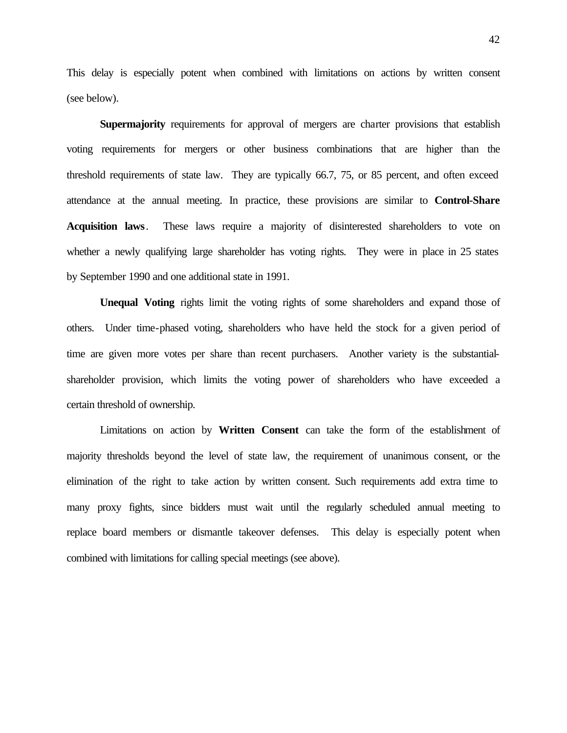This delay is especially potent when combined with limitations on actions by written consent (see below).

**Supermajority** requirements for approval of mergers are charter provisions that establish voting requirements for mergers or other business combinations that are higher than the threshold requirements of state law. They are typically 66.7, 75, or 85 percent, and often exceed attendance at the annual meeting. In practice, these provisions are similar to **Control-Share Acquisition laws**. These laws require a majority of disinterested shareholders to vote on whether a newly qualifying large shareholder has voting rights. They were in place in 25 states by September 1990 and one additional state in 1991.

**Unequal Voting** rights limit the voting rights of some shareholders and expand those of others. Under time-phased voting, shareholders who have held the stock for a given period of time are given more votes per share than recent purchasers. Another variety is the substantialshareholder provision, which limits the voting power of shareholders who have exceeded a certain threshold of ownership.

Limitations on action by **Written Consent** can take the form of the establishment of majority thresholds beyond the level of state law, the requirement of unanimous consent, or the elimination of the right to take action by written consent. Such requirements add extra time to many proxy fights, since bidders must wait until the regularly scheduled annual meeting to replace board members or dismantle takeover defenses. This delay is especially potent when combined with limitations for calling special meetings (see above).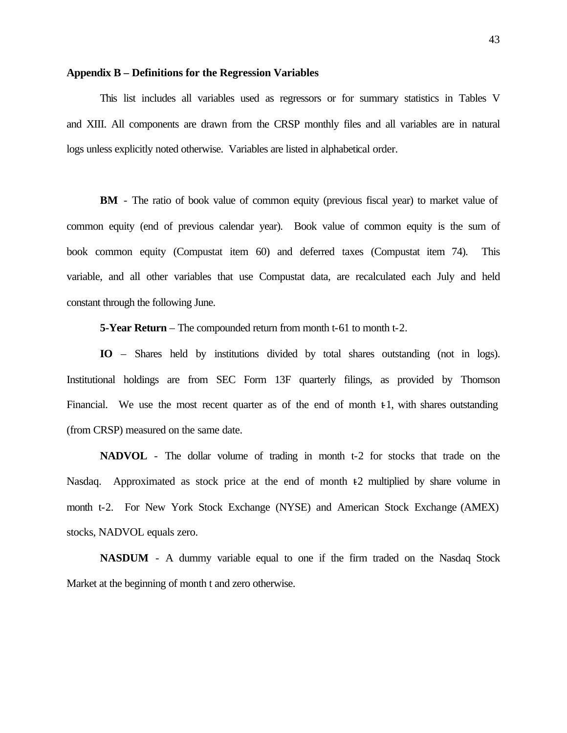#### **Appendix B – Definitions for the Regression Variables**

This list includes all variables used as regressors or for summary statistics in Tables V and XIII. All components are drawn from the CRSP monthly files and all variables are in natural logs unless explicitly noted otherwise. Variables are listed in alphabetical order.

**BM** - The ratio of book value of common equity (previous fiscal year) to market value of common equity (end of previous calendar year). Book value of common equity is the sum of book common equity (Compustat item 60) and deferred taxes (Compustat item 74). This variable, and all other variables that use Compustat data, are recalculated each July and held constant through the following June.

**5-Year Return** – The compounded return from month t-61 to month t-2.

**IO** – Shares held by institutions divided by total shares outstanding (not in logs). Institutional holdings are from SEC Form 13F quarterly filings, as provided by Thomson Financial. We use the most recent quarter as of the end of month  $t$ 1, with shares outstanding (from CRSP) measured on the same date.

**NADVOL** - The dollar volume of trading in month t-2 for stocks that trade on the Nasdaq. Approximated as stock price at the end of month  $t^2$  multiplied by share volume in month t-2. For New York Stock Exchange (NYSE) and American Stock Exchange (AMEX) stocks, NADVOL equals zero.

**NASDUM** - A dummy variable equal to one if the firm traded on the Nasdaq Stock Market at the beginning of month t and zero otherwise.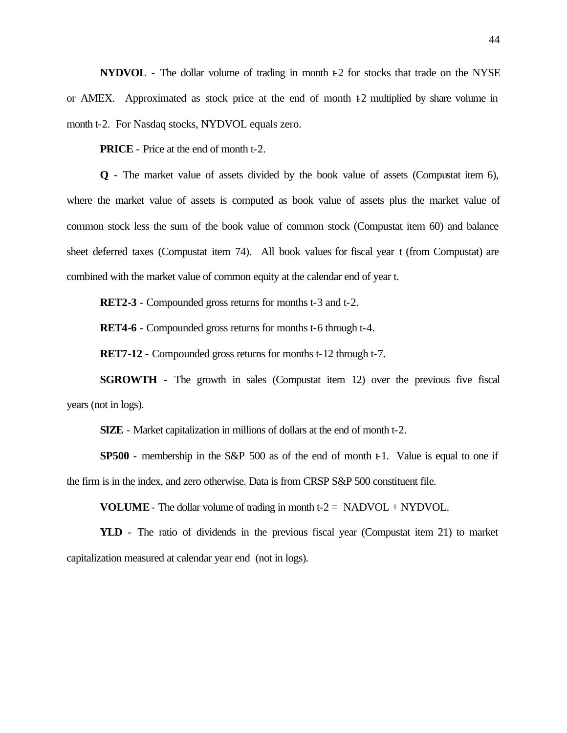**NYDVOL** - The dollar volume of trading in month  $\pm 2$  for stocks that trade on the NYSE or AMEX. Approximated as stock price at the end of month  $\epsilon$ 2 multiplied by share volume in month t-2. For Nasdaq stocks, NYDVOL equals zero.

**PRICE** - Price at the end of month t-2.

**Q** - The market value of assets divided by the book value of assets (Compustat item 6), where the market value of assets is computed as book value of assets plus the market value of common stock less the sum of the book value of common stock (Compustat item 60) and balance sheet deferred taxes (Compustat item 74). All book values for fiscal year t (from Compustat) are combined with the market value of common equity at the calendar end of year t.

**RET2-3** - Compounded gross returns for months t-3 and t-2.

**RET4-6** - Compounded gross returns for months t-6 through t-4.

**RET7-12** - Compounded gross returns for months t-12 through t-7.

**SGROWTH** - The growth in sales (Compustat item 12) over the previous five fiscal years (not in logs).

**SIZE** - Market capitalization in millions of dollars at the end of month t-2.

**SP500** - membership in the S&P 500 as of the end of month  $\text{\textsterling}1$ . Value is equal to one if the firm is in the index, and zero otherwise. Data is from CRSP S&P 500 constituent file.

**VOLUME** - The dollar volume of trading in month  $t - 2 = NADVOL + NYDVOL$ .

**YLD** - The ratio of dividends in the previous fiscal year (Compustat item 21) to market capitalization measured at calendar year end (not in logs).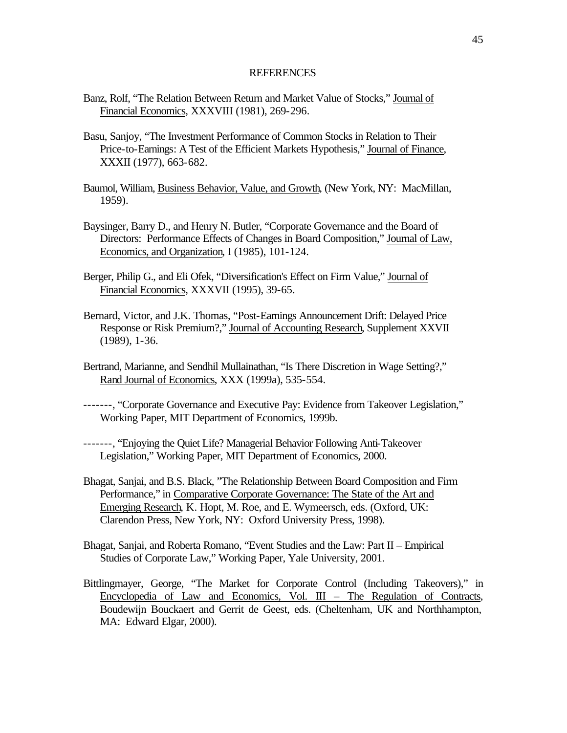## **REFERENCES**

- Banz, Rolf, "The Relation Between Return and Market Value of Stocks," Journal of Financial Economics, XXXVIII (1981), 269-296.
- Basu, Sanjoy, "The Investment Performance of Common Stocks in Relation to Their Price-to-Earnings: A Test of the Efficient Markets Hypothesis," Journal of Finance, XXXII (1977), 663-682.
- Baumol, William, Business Behavior, Value, and Growth, (New York, NY: MacMillan, 1959).
- Baysinger, Barry D., and Henry N. Butler, "Corporate Governance and the Board of Directors: Performance Effects of Changes in Board Composition," Journal of Law, Economics, and Organization, I (1985), 101-124.
- Berger, Philip G., and Eli Ofek, "Diversification's Effect on Firm Value," Journal of Financial Economics, XXXVII (1995), 39-65.
- Bernard, Victor, and J.K. Thomas, "Post-Earnings Announcement Drift: Delayed Price Response or Risk Premium?," Journal of Accounting Research, Supplement XXVII (1989), 1-36.
- Bertrand, Marianne, and Sendhil Mullainathan, "Is There Discretion in Wage Setting?," Rand Journal of Economics, XXX (1999a), 535-554.
- -------, "Corporate Governance and Executive Pay: Evidence from Takeover Legislation," Working Paper, MIT Department of Economics, 1999b.
- -------, "Enjoying the Quiet Life? Managerial Behavior Following Anti-Takeover Legislation," Working Paper, MIT Department of Economics, 2000.
- Bhagat, Sanjai, and B.S. Black, "The Relationship Between Board Composition and Firm Performance," in Comparative Corporate Governance: The State of the Art and Emerging Research, K. Hopt, M. Roe, and E. Wymeersch, eds. (Oxford, UK: Clarendon Press, New York, NY: Oxford University Press, 1998).
- Bhagat, Sanjai, and Roberta Romano, "Event Studies and the Law: Part II Empirical Studies of Corporate Law," Working Paper, Yale University, 2001.
- Bittlingmayer, George, "The Market for Corporate Control (Including Takeovers)," in Encyclopedia of Law and Economics, Vol. III – The Regulation of Contracts, Boudewijn Bouckaert and Gerrit de Geest, eds. (Cheltenham, UK and Northhampton, MA: Edward Elgar, 2000).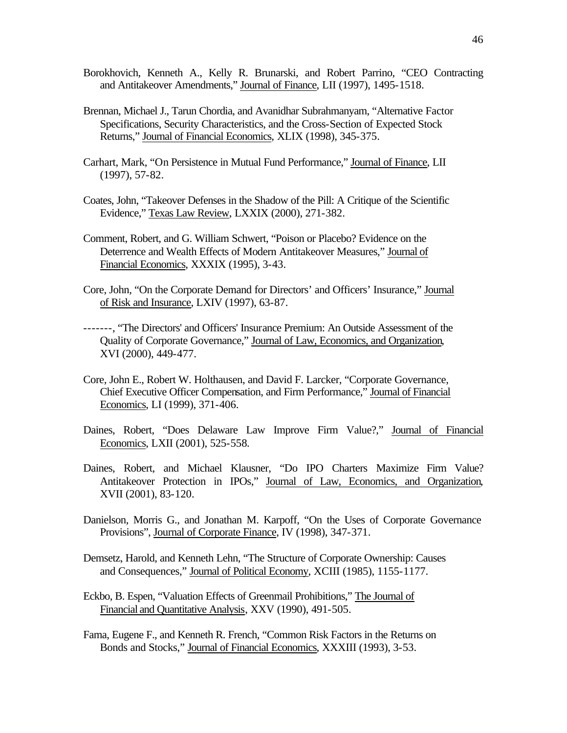- Borokhovich, Kenneth A., Kelly R. Brunarski, and Robert Parrino, "CEO Contracting and Antitakeover Amendments," Journal of Finance, LII (1997), 1495-1518.
- Brennan, Michael J., Tarun Chordia, and Avanidhar Subrahmanyam, "Alternative Factor Specifications, Security Characteristics, and the Cross-Section of Expected Stock Returns," Journal of Financial Economics, XLIX (1998), 345-375.
- Carhart, Mark, "On Persistence in Mutual Fund Performance," Journal of Finance, LII (1997), 57-82.
- Coates, John, "Takeover Defenses in the Shadow of the Pill: A Critique of the Scientific Evidence," Texas Law Review, LXXIX (2000), 271-382.
- Comment, Robert, and G. William Schwert, "Poison or Placebo? Evidence on the Deterrence and Wealth Effects of Modern Antitakeover Measures," Journal of Financial Economics, XXXIX (1995), 3-43.
- Core, John, "On the Corporate Demand for Directors' and Officers' Insurance," Journal of Risk and Insurance, LXIV (1997), 63-87.
- -------, "The Directors' and Officers' Insurance Premium: An Outside Assessment of the Quality of Corporate Governance," Journal of Law, Economics, and Organization, XVI (2000), 449-477.
- Core, John E., Robert W. Holthausen, and David F. Larcker, "Corporate Governance, Chief Executive Officer Compensation, and Firm Performance," Journal of Financial Economics, LI (1999), 371-406.
- Daines, Robert, "Does Delaware Law Improve Firm Value?," Journal of Financial Economics, LXII (2001), 525-558*.*
- Daines, Robert, and Michael Klausner, "Do IPO Charters Maximize Firm Value? Antitakeover Protection in IPOs," Journal of Law, Economics, and Organization, XVII (2001), 83-120.
- Danielson, Morris G., and Jonathan M. Karpoff, "On the Uses of Corporate Governance Provisions", Journal of Corporate Finance, IV (1998), 347-371.
- Demsetz, Harold, and Kenneth Lehn, "The Structure of Corporate Ownership: Causes and Consequences," Journal of Political Economy, XCIII (1985), 1155-1177.
- Eckbo, B. Espen, "Valuation Effects of Greenmail Prohibitions," The Journal of Financial and Quantitative Analysis, XXV (1990), 491-505.
- Fama, Eugene F., and Kenneth R. French, "Common Risk Factors in the Returns on Bonds and Stocks," Journal of Financial Economics, XXXIII (1993), 3-53.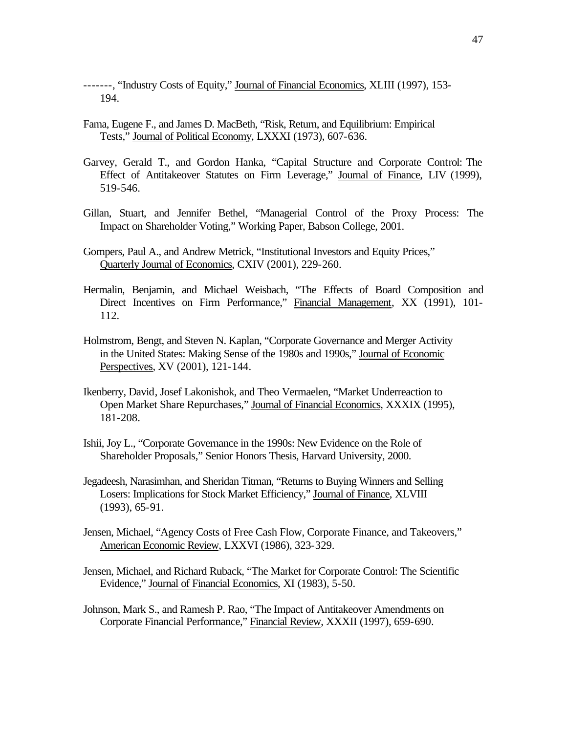-------, "Industry Costs of Equity," Journal of Financial Economics, XLIII (1997), 153- 194.

- Fama, Eugene F., and James D. MacBeth, "Risk, Return, and Equilibrium: Empirical Tests," Journal of Political Economy, LXXXI (1973), 607-636.
- Garvey, Gerald T., and Gordon Hanka, "Capital Structure and Corporate Control: The Effect of Antitakeover Statutes on Firm Leverage," Journal of Finance, LIV (1999), 519-546.
- Gillan, Stuart, and Jennifer Bethel, "Managerial Control of the Proxy Process: The Impact on Shareholder Voting," Working Paper, Babson College, 2001.
- Gompers, Paul A., and Andrew Metrick, "Institutional Investors and Equity Prices," Quarterly Journal of Economics, CXIV (2001), 229-260.
- Hermalin, Benjamin, and Michael Weisbach, "The Effects of Board Composition and Direct Incentives on Firm Performance," Financial Management, XX (1991), 101- 112.
- Holmstrom, Bengt, and Steven N. Kaplan, "Corporate Governance and Merger Activity in the United States: Making Sense of the 1980s and 1990s," Journal of Economic Perspectives, XV (2001), 121-144.
- Ikenberry, David, Josef Lakonishok, and Theo Vermaelen, "Market Underreaction to Open Market Share Repurchases," Journal of Financial Economics, XXXIX (1995), 181-208.
- Ishii, Joy L., "Corporate Governance in the 1990s: New Evidence on the Role of Shareholder Proposals," Senior Honors Thesis, Harvard University, 2000.
- Jegadeesh, Narasimhan, and Sheridan Titman, "Returns to Buying Winners and Selling Losers: Implications for Stock Market Efficiency," Journal of Finance, XLVIII (1993), 65-91.
- Jensen, Michael, "Agency Costs of Free Cash Flow, Corporate Finance, and Takeovers," American Economic Review, LXXVI (1986), 323-329.
- Jensen, Michael, and Richard Ruback, "The Market for Corporate Control: The Scientific Evidence," Journal of Financial Economics, XI (1983), 5-50.
- Johnson, Mark S., and Ramesh P. Rao, "The Impact of Antitakeover Amendments on Corporate Financial Performance," Financial Review, XXXII (1997), 659-690.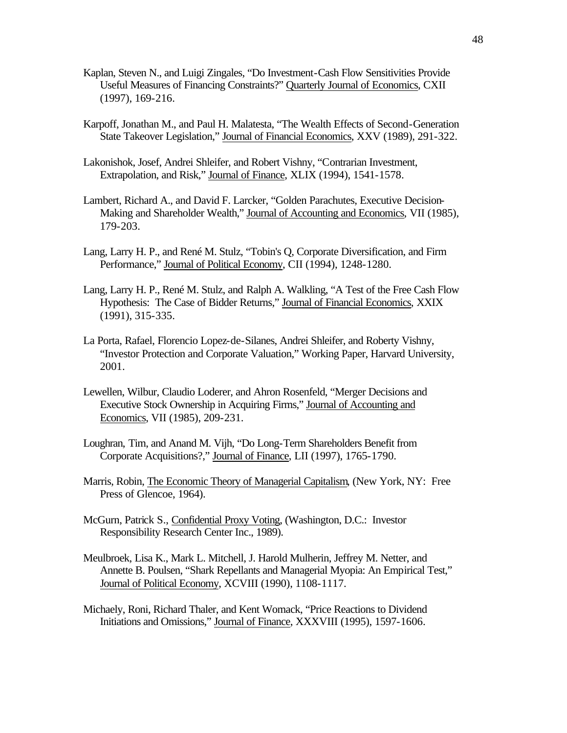- Kaplan, Steven N., and Luigi Zingales, "Do Investment-Cash Flow Sensitivities Provide Useful Measures of Financing Constraints?" Quarterly Journal of Economics, CXII (1997), 169-216.
- Karpoff, Jonathan M., and Paul H. Malatesta, "The Wealth Effects of Second-Generation State Takeover Legislation," Journal of Financial Economics, XXV (1989), 291-322.
- Lakonishok, Josef, Andrei Shleifer, and Robert Vishny, "Contrarian Investment, Extrapolation, and Risk," Journal of Finance, XLIX (1994), 1541-1578.
- Lambert, Richard A., and David F. Larcker, "Golden Parachutes, Executive Decision-Making and Shareholder Wealth," Journal of Accounting and Economics, VII (1985), 179-203.
- Lang, Larry H. P., and René M. Stulz, "Tobin's Q, Corporate Diversification, and Firm Performance," Journal of Political Economy, CII (1994), 1248-1280.
- Lang, Larry H. P., René M. Stulz, and Ralph A. Walkling, "A Test of the Free Cash Flow Hypothesis: The Case of Bidder Returns," Journal of Financial Economics, XXIX (1991), 315-335.
- La Porta, Rafael, Florencio Lopez-de-Silanes, Andrei Shleifer, and Roberty Vishny, "Investor Protection and Corporate Valuation," Working Paper, Harvard University, 2001.
- Lewellen, Wilbur, Claudio Loderer, and Ahron Rosenfeld, "Merger Decisions and Executive Stock Ownership in Acquiring Firms," Journal of Accounting and Economics, VII (1985), 209-231.
- Loughran, Tim, and Anand M. Vijh, "Do Long-Term Shareholders Benefit from Corporate Acquisitions?," Journal of Finance, LII (1997), 1765-1790.
- Marris, Robin, The Economic Theory of Managerial Capitalism, (New York, NY: Free Press of Glencoe, 1964).
- McGurn, Patrick S., Confidential Proxy Voting, (Washington, D.C.: Investor Responsibility Research Center Inc., 1989).
- Meulbroek, Lisa K., Mark L. Mitchell, J. Harold Mulherin, Jeffrey M. Netter, and Annette B. Poulsen, "Shark Repellants and Managerial Myopia: An Empirical Test," Journal of Political Economy, XCVIII (1990), 1108-1117.
- Michaely, Roni, Richard Thaler, and Kent Womack, "Price Reactions to Dividend Initiations and Omissions," Journal of Finance, XXXVIII (1995), 1597-1606.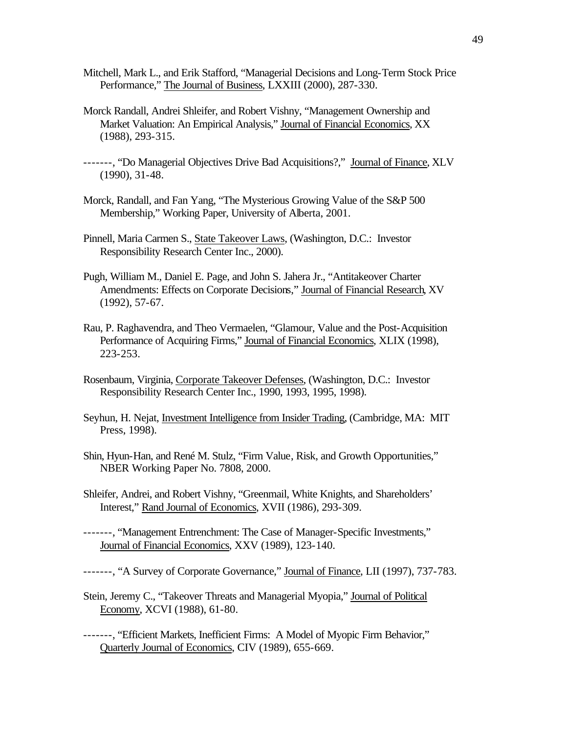- Mitchell, Mark L., and Erik Stafford, "Managerial Decisions and Long-Term Stock Price Performance," The Journal of Business, LXXIII (2000), 287-330.
- Morck Randall, Andrei Shleifer, and Robert Vishny, "Management Ownership and Market Valuation: An Empirical Analysis," Journal of Financial Economics, XX (1988), 293-315.
- -------, "Do Managerial Objectives Drive Bad Acquisitions?," Journal of Finance, XLV (1990), 31-48.
- Morck, Randall, and Fan Yang, "The Mysterious Growing Value of the S&P 500 Membership," Working Paper, University of Alberta, 2001.
- Pinnell, Maria Carmen S., State Takeover Laws, (Washington, D.C.: Investor Responsibility Research Center Inc., 2000).
- Pugh, William M., Daniel E. Page, and John S. Jahera Jr., "Antitakeover Charter Amendments: Effects on Corporate Decisions," Journal of Financial Research, XV (1992), 57-67.
- Rau, P. Raghavendra, and Theo Vermaelen, "Glamour, Value and the Post-Acquisition Performance of Acquiring Firms," Journal of Financial Economics, XLIX (1998), 223-253.
- Rosenbaum, Virginia, Corporate Takeover Defenses, (Washington, D.C.: Investor Responsibility Research Center Inc., 1990, 1993, 1995, 1998).
- Seyhun, H. Nejat, Investment Intelligence from Insider Trading, (Cambridge, MA: MIT Press, 1998).
- Shin, Hyun-Han, and René M. Stulz, "Firm Value, Risk, and Growth Opportunities," NBER Working Paper No. 7808, 2000.
- Shleifer, Andrei, and Robert Vishny, "Greenmail, White Knights, and Shareholders' Interest," Rand Journal of Economics, XVII (1986), 293-309.
- -------, "Management Entrenchment: The Case of Manager-Specific Investments," Journal of Financial Economics, XXV (1989), 123-140.

-------, "A Survey of Corporate Governance," Journal of Finance, LII (1997), 737-783.

Stein, Jeremy C., "Takeover Threats and Managerial Myopia," Journal of Political Economy, XCVI (1988), 61-80.

-------, "Efficient Markets, Inefficient Firms: A Model of Myopic Firm Behavior," Quarterly Journal of Economics, CIV (1989), 655-669.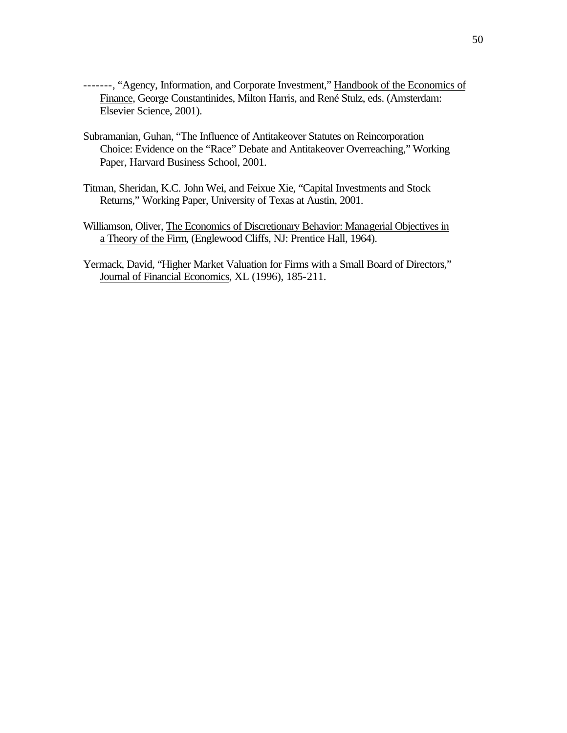- -------, "Agency, Information, and Corporate Investment," Handbook of the Economics of Finance, George Constantinides, Milton Harris, and René Stulz, eds. (Amsterdam: Elsevier Science, 2001).
- Subramanian, Guhan, "The Influence of Antitakeover Statutes on Reincorporation Choice: Evidence on the "Race" Debate and Antitakeover Overreaching," Working Paper, Harvard Business School, 2001.
- Titman, Sheridan, K.C. John Wei, and Feixue Xie, "Capital Investments and Stock Returns," Working Paper, University of Texas at Austin, 2001.
- Williamson, Oliver, The Economics of Discretionary Behavior: Managerial Objectives in a Theory of the Firm, (Englewood Cliffs, NJ: Prentice Hall, 1964).
- Yermack, David, "Higher Market Valuation for Firms with a Small Board of Directors," Journal of Financial Economics, XL (1996), 185-211.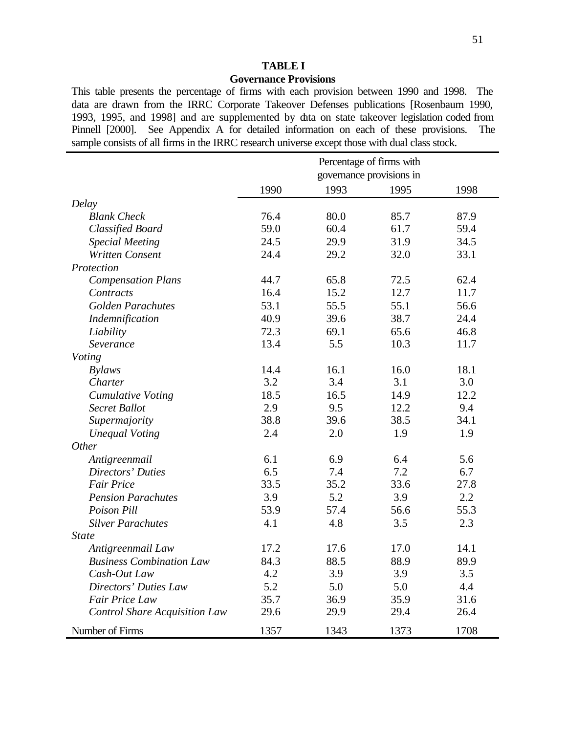## **TABLE I Governance Provisions**

This table presents the percentage of firms with each provision between 1990 and 1998. The data are drawn from the IRRC Corporate Takeover Defenses publications [Rosenbaum 1990, 1993, 1995, and 1998] and are supplemented by data on state takeover legislation coded from Pinnell [2000]. See Appendix A for detailed information on each of these provisions. The sample consists of all firms in the IRRC research universe except those with dual class stock.

|                                      | Percentage of firms with |      |                          |      |  |
|--------------------------------------|--------------------------|------|--------------------------|------|--|
|                                      |                          |      | governance provisions in |      |  |
|                                      | 1990                     | 1993 | 1995                     | 1998 |  |
| Delay                                |                          |      |                          |      |  |
| <b>Blank Check</b>                   | 76.4                     | 80.0 | 85.7                     | 87.9 |  |
| <b>Classified Board</b>              | 59.0                     | 60.4 | 61.7                     | 59.4 |  |
| <b>Special Meeting</b>               | 24.5                     | 29.9 | 31.9                     | 34.5 |  |
| <b>Written Consent</b>               | 24.4                     | 29.2 | 32.0                     | 33.1 |  |
| Protection                           |                          |      |                          |      |  |
| <b>Compensation Plans</b>            | 44.7                     | 65.8 | 72.5                     | 62.4 |  |
| Contracts                            | 16.4                     | 15.2 | 12.7                     | 11.7 |  |
| <b>Golden Parachutes</b>             | 53.1                     | 55.5 | 55.1                     | 56.6 |  |
| Indemnification                      | 40.9                     | 39.6 | 38.7                     | 24.4 |  |
| Liability                            | 72.3                     | 69.1 | 65.6                     | 46.8 |  |
| Severance                            | 13.4                     | 5.5  | 10.3                     | 11.7 |  |
| Voting                               |                          |      |                          |      |  |
| <b>Bylaws</b>                        | 14.4                     | 16.1 | 16.0                     | 18.1 |  |
| Charter                              | 3.2                      | 3.4  | 3.1                      | 3.0  |  |
| <b>Cumulative Voting</b>             | 18.5                     | 16.5 | 14.9                     | 12.2 |  |
| <b>Secret Ballot</b>                 | 2.9                      | 9.5  | 12.2                     | 9.4  |  |
| Supermajority                        | 38.8                     | 39.6 | 38.5                     | 34.1 |  |
| <b>Unequal Voting</b>                | 2.4                      | 2.0  | 1.9                      | 1.9  |  |
| <b>Other</b>                         |                          |      |                          |      |  |
| Antigreenmail                        | 6.1                      | 6.9  | 6.4                      | 5.6  |  |
| Directors' Duties                    | 6.5                      | 7.4  | 7.2                      | 6.7  |  |
| <b>Fair Price</b>                    | 33.5                     | 35.2 | 33.6                     | 27.8 |  |
| <b>Pension Parachutes</b>            | 3.9                      | 5.2  | 3.9                      | 2.2  |  |
| Poison Pill                          | 53.9                     | 57.4 | 56.6                     | 55.3 |  |
| <b>Silver Parachutes</b>             | 4.1                      | 4.8  | 3.5                      | 2.3  |  |
| <b>State</b>                         |                          |      |                          |      |  |
| Antigreenmail Law                    | 17.2                     | 17.6 | 17.0                     | 14.1 |  |
| <b>Business Combination Law</b>      | 84.3                     | 88.5 | 88.9                     | 89.9 |  |
| Cash-Out Law                         | 4.2                      | 3.9  | 3.9                      | 3.5  |  |
| Directors' Duties Law                | 5.2                      | 5.0  | 5.0                      | 4.4  |  |
| <b>Fair Price Law</b>                | 35.7                     | 36.9 | 35.9                     | 31.6 |  |
| <b>Control Share Acquisition Law</b> | 29.6                     | 29.9 | 29.4                     | 26.4 |  |
| Number of Firms                      | 1357                     | 1343 | 1373                     | 1708 |  |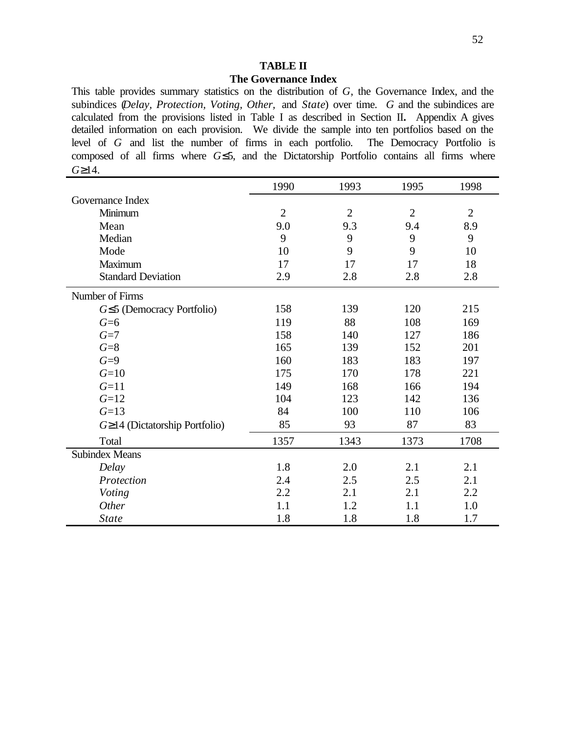## **TABLE II**

## **The Governance Index**

This table provides summary statistics on the distribution of *G*, the Governance Index, and the subindices (*Delay, Protection, Voting, Other,* and *State*) over time. *G* and the subindices are calculated from the provisions listed in Table I as described in Section II**.** Appendix A gives detailed information on each provision. We divide the sample into ten portfolios based on the level of *G* and list the number of firms in each portfolio. The Democracy Portfolio is composed of all firms where *G*≤5, and the Dictatorship Portfolio contains all firms where *G*≥14.

|                                      | 1990           | 1993           | 1995           | 1998           |
|--------------------------------------|----------------|----------------|----------------|----------------|
| Governance Index                     |                |                |                |                |
| Minimum                              | $\overline{2}$ | $\overline{2}$ | $\overline{2}$ | $\overline{2}$ |
| Mean                                 | 9.0            | 9.3            | 9.4            | 8.9            |
| Median                               | 9              | 9              | 9              | 9              |
| Mode                                 | 10             | 9              | 9              | 10             |
| Maximum                              | 17             | 17             | 17             | 18             |
| <b>Standard Deviation</b>            | 2.9            | 2.8            | 2.8            | 2.8            |
| Number of Firms                      |                |                |                |                |
| $G \leq 5$ (Democracy Portfolio)     | 158            | 139            | 120            | 215            |
| $G=6$                                | 119            | 88             | 108            | 169            |
| $G=7$                                | 158            | 140            | 127            | 186            |
| $G=8$                                | 165            | 139            | 152            | 201            |
| $G=9$                                | 160            | 183            | 183            | 197            |
| $G=10$                               | 175            | 170            | 178            | 221            |
| $G=11$                               | 149            | 168            | 166            | 194            |
| $G=12$                               | 104            | 123            | 142            | 136            |
| $G=13$                               | 84             | 100            | 110            | 106            |
| $G \geq 14$ (Dictatorship Portfolio) | 85             | 93             | 87             | 83             |
| Total                                | 1357           | 1343           | 1373           | 1708           |
| Subindex Means                       |                |                |                |                |
| Delay                                | 1.8            | 2.0            | 2.1            | 2.1            |
| Protection                           | 2.4            | 2.5            | 2.5            | 2.1            |
| Voting                               | 2.2            | 2.1            | 2.1            | 2.2            |
| Other                                | 1.1            | 1.2            | 1.1            | 1.0            |
| <b>State</b>                         | 1.8            | 1.8            | 1.8            | 1.7            |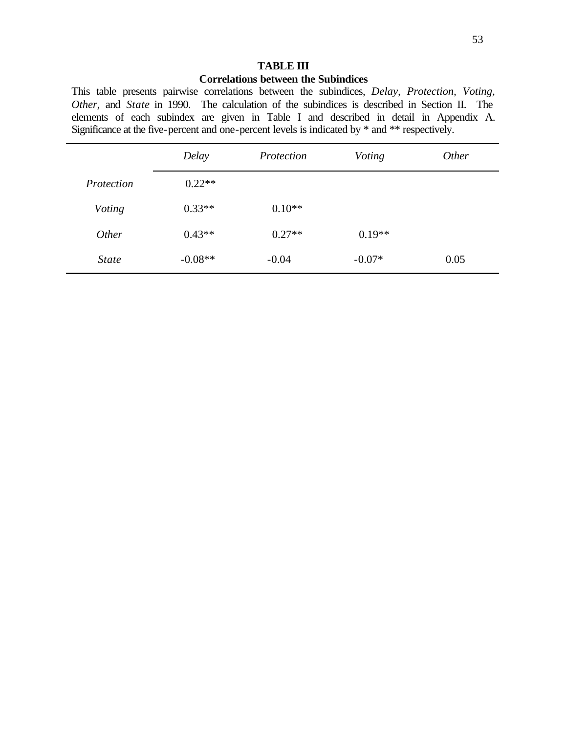# **TABLE III**

## **Correlations between the Subindices**

This table presents pairwise correlations between the subindices, *Delay, Protection, Voting, Other,* and *State* in 1990. The calculation of the subindices is described in Section II. The elements of each subindex are given in Table I and described in detail in Appendix A. Significance at the five-percent and one-percent levels is indicated by \* and \*\* respectively.

|              | Delay     | Protection | Voting   | <i>Other</i> |
|--------------|-----------|------------|----------|--------------|
| Protection   | $0.22**$  |            |          |              |
| Voting       | $0.33**$  | $0.10**$   |          |              |
| Other        | $0.43**$  | $0.27**$   | $0.19**$ |              |
| <b>State</b> | $-0.08**$ | $-0.04$    | $-0.07*$ | 0.05         |

÷.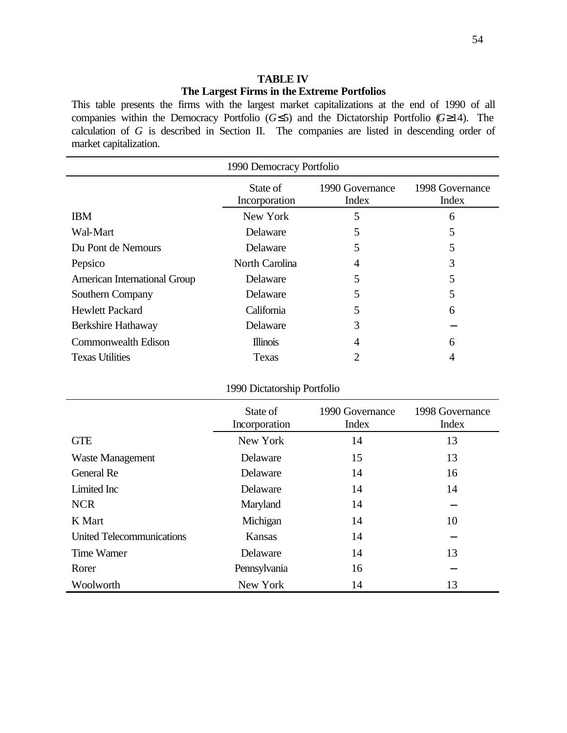# **TABLE IV The Largest Firms in the Extreme Portfolios**

This table presents the firms with the largest market capitalizations at the end of 1990 of all companies within the Democracy Portfolio (*G*≤5) and the Dictatorship Portfolio (*G*≥14). The calculation of *G* is described in Section II. The companies are listed in descending order of market capitalization.

| 1990 Democracy Portfolio     |                           |                          |                          |  |
|------------------------------|---------------------------|--------------------------|--------------------------|--|
|                              | State of<br>Incorporation | 1990 Governance<br>Index | 1998 Governance<br>Index |  |
| <b>IBM</b>                   | New York                  | 5                        | 6                        |  |
| Wal-Mart                     | Delaware                  | 5                        |                          |  |
| Du Pont de Nemours           | Delaware                  | 5                        |                          |  |
| Pepsico                      | North Carolina            | 4                        | 3                        |  |
| American International Group | Delaware                  | 5                        |                          |  |
| Southern Company             | Delaware                  | 5                        | 5                        |  |
| <b>Hewlett Packard</b>       | California                | 5                        | 6                        |  |
| Berkshire Hathaway           | Delaware                  | 3                        |                          |  |
| <b>Commonwealth Edison</b>   | <b>Illinois</b>           | 4                        | 6                        |  |
| <b>Texas Utilities</b>       | <b>Texas</b>              |                          |                          |  |

|                                  | State of<br>Incorporation | 1990 Governance<br>Index | 1998 Governance<br>Index |
|----------------------------------|---------------------------|--------------------------|--------------------------|
| <b>GTE</b>                       | New York                  | 14                       | 13                       |
| Waste Management                 | Delaware                  | 15                       | 13                       |
| General Re                       | Delaware                  | 14                       | 16                       |
| Limited Inc                      | Delaware                  | 14                       | 14                       |
| <b>NCR</b>                       | Maryland                  | 14                       |                          |
| K Mart                           | Michigan                  | 14                       | 10                       |
| <b>United Telecommunications</b> | Kansas                    | 14                       |                          |
| <b>Time Warner</b>               | Delaware                  | 14                       | 13                       |
| Rorer                            | Pennsylvania              | 16                       |                          |
| Woolworth                        | New York                  | 14                       | 13                       |

# 1990 Dictatorship Portfolio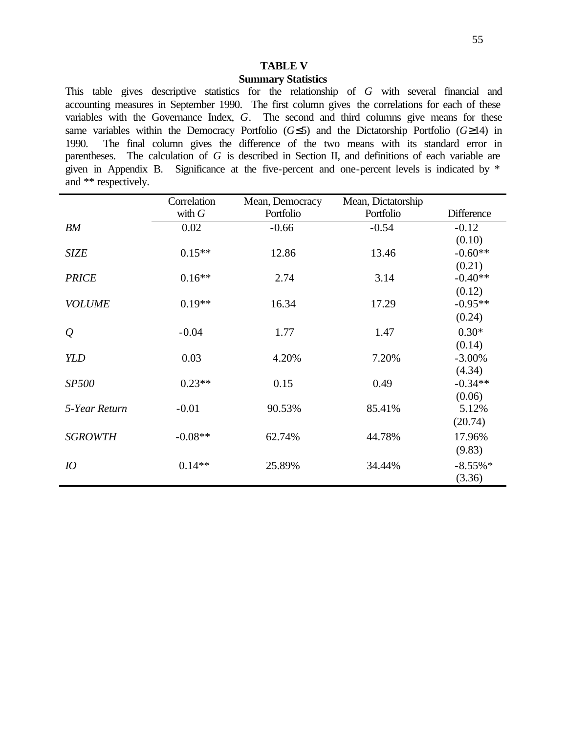## **TABLE V Summary Statistics**

This table gives descriptive statistics for the relationship of *G* with several financial and accounting measures in September 1990. The first column gives the correlations for each of these variables with the Governance Index, *G*. The second and third columns give means for these same variables within the Democracy Portfolio (*G*≤5) and the Dictatorship Portfolio (*G*≥14) in 1990. The final column gives the difference of the two means with its standard error in parentheses. The calculation of *G* is described in Section II, and definitions of each variable are given in Appendix B. Significance at the five-percent and one-percent levels is indicated by \*

and \*\* respectively.

|                | Correlation | Mean, Democracy | Mean, Dictatorship |                   |
|----------------|-------------|-----------------|--------------------|-------------------|
|                | with $G$    | Portfolio       | Portfolio          | <b>Difference</b> |
| BM             | 0.02        | $-0.66$         | $-0.54$            | $-0.12$           |
|                |             |                 |                    | (0.10)            |
| <b>SIZE</b>    | $0.15**$    | 12.86           | 13.46              | $-0.60**$         |
|                |             |                 |                    | (0.21)            |
| <b>PRICE</b>   | $0.16**$    | 2.74            | 3.14               | $-0.40**$         |
|                |             |                 |                    | (0.12)            |
| <b>VOLUME</b>  | $0.19**$    | 16.34           | 17.29              | $-0.95**$         |
|                |             |                 |                    | (0.24)            |
| $\mathcal{Q}$  | $-0.04$     | 1.77            | 1.47               | $0.30*$           |
|                |             |                 |                    | (0.14)            |
| <b>YLD</b>     | 0.03        | 4.20%           | 7.20%              | $-3.00\%$         |
|                |             |                 |                    | (4.34)            |
| SP500          | $0.23**$    | 0.15            | 0.49               | $-0.34**$         |
|                |             |                 |                    | (0.06)            |
| 5-Year Return  | $-0.01$     | 90.53%          | 85.41%             | 5.12%             |
|                |             |                 |                    | (20.74)           |
| <b>SGROWTH</b> | $-0.08**$   | 62.74%          | 44.78%             | 17.96%            |
|                |             |                 |                    | (9.83)            |
| IO             | $0.14**$    | 25.89%          | 34.44%             | $-8.55\%$ *       |
|                |             |                 |                    | (3.36)            |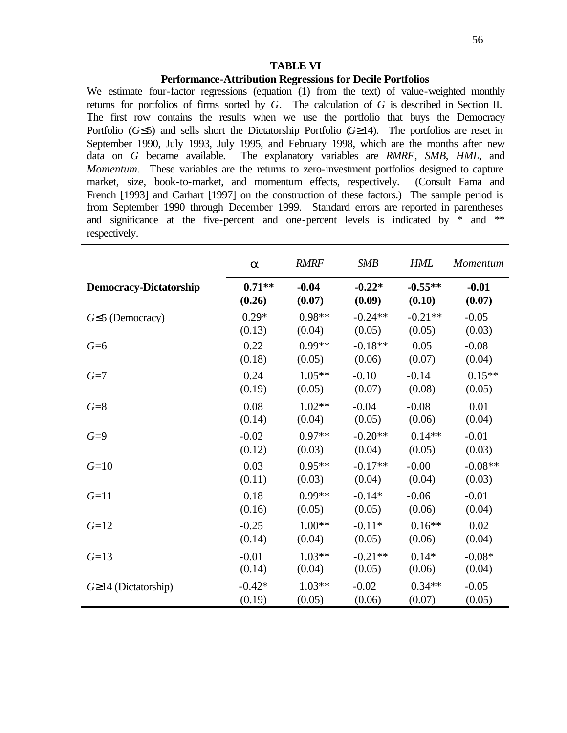### **TABLE VI**

**Performance-Attribution Regressions for Decile Portfolios**

We estimate four-factor regressions (equation (1) from the text) of value-weighted monthly returns for portfolios of firms sorted by *G*. The calculation of *G* is described in Section II. The first row contains the results when we use the portfolio that buys the Democracy Portfolio (*G*≤5) and sells short the Dictatorship Portfolio (*G*≥14). The portfolios are reset in September 1990, July 1993, July 1995, and February 1998, which are the months after new data on *G* became available. The explanatory variables are *RMRF*, *SMB*, *HML*, and *Momentum*. These variables are the returns to zero-investment portfolios designed to capture market, size, book-to-market, and momentum effects, respectively. (Consult Fama and French [1993] and Carhart [1997] on the construction of these factors.) The sample period is from September 1990 through December 1999. Standard errors are reported in parentheses and significance at the five-percent and one-percent levels is indicated by \* and \*\* respectively.

|                               | $\boldsymbol{a}$ | <b>RMRF</b> | <b>SMB</b> | <b>HML</b> | Momentum  |
|-------------------------------|------------------|-------------|------------|------------|-----------|
| <b>Democracy-Dictatorship</b> | $0.71**$         | $-0.04$     | $-0.22*$   | $-0.55**$  | $-0.01$   |
|                               | (0.26)           | (0.07)      | (0.09)     | (0.10)     | (0.07)    |
| $G \leq 5$ (Democracy)        | $0.29*$          | $0.98**$    | $-0.24**$  | $-0.21**$  | $-0.05$   |
|                               | (0.13)           | (0.04)      | (0.05)     | (0.05)     | (0.03)    |
| $G=6$                         | 0.22             | $0.99**$    | $-0.18**$  | 0.05       | $-0.08$   |
|                               | (0.18)           | (0.05)      | (0.06)     | (0.07)     | (0.04)    |
| $G=7$                         | 0.24             | $1.05**$    | $-0.10$    | $-0.14$    | $0.15**$  |
|                               | (0.19)           | (0.05)      | (0.07)     | (0.08)     | (0.05)    |
| $G=8$                         | 0.08             | $1.02**$    | $-0.04$    | $-0.08$    | 0.01      |
|                               | (0.14)           | (0.04)      | (0.05)     | (0.06)     | (0.04)    |
| $G=9$                         | $-0.02$          | $0.97**$    | $-0.20**$  | $0.14**$   | $-0.01$   |
|                               | (0.12)           | (0.03)      | (0.04)     | (0.05)     | (0.03)    |
| $G=10$                        | 0.03             | $0.95**$    | $-0.17**$  | $-0.00$    | $-0.08**$ |
|                               | (0.11)           | (0.03)      | (0.04)     | (0.04)     | (0.03)    |
| $G=11$                        | 0.18             | $0.99**$    | $-0.14*$   | $-0.06$    | $-0.01$   |
|                               | (0.16)           | (0.05)      | (0.05)     | (0.06)     | (0.04)    |
| $G=12$                        | $-0.25$          | $1.00**$    | $-0.11*$   | $0.16**$   | 0.02      |
|                               | (0.14)           | (0.04)      | (0.05)     | (0.06)     | (0.04)    |
| $G = 13$                      | $-0.01$          | $1.03**$    | $-0.21**$  | $0.14*$    | $-0.08*$  |
|                               | (0.14)           | (0.04)      | (0.05)     | (0.06)     | (0.04)    |
| $G \geq 14$ (Dictatorship)    | $-0.42*$         | $1.03**$    | $-0.02$    | $0.34**$   | $-0.05$   |
|                               | (0.19)           | (0.05)      | (0.06)     | (0.07)     | (0.05)    |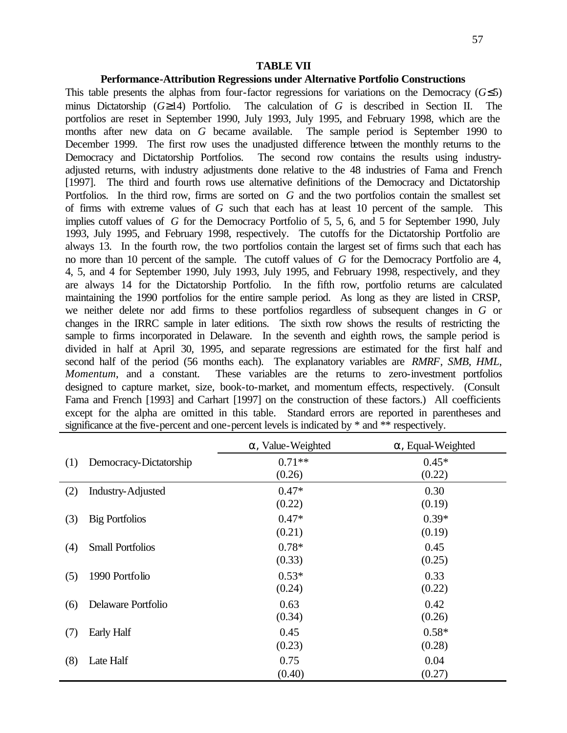## **TABLE VII**

## **Performance-Attribution Regressions under Alternative Portfolio Constructions**

This table presents the alphas from four-factor regressions for variations on the Democracy (*G*≤5) minus Dictatorship (*G*≥14) Portfolio. The calculation of *G* is described in Section II. The portfolios are reset in September 1990, July 1993, July 1995, and February 1998, which are the months after new data on *G* became available. The sample period is September 1990 to December 1999. The first row uses the unadjusted difference between the monthly returns to the Democracy and Dictatorship Portfolios. The second row contains the results using industryadjusted returns, with industry adjustments done relative to the 48 industries of Fama and French [1997]. The third and fourth rows use alternative definitions of the Democracy and Dictatorship Portfolios. In the third row, firms are sorted on *G* and the two portfolios contain the smallest set of firms with extreme values of *G* such that each has at least 10 percent of the sample. This implies cutoff values of *G* for the Democracy Portfolio of 5, 5, 6, and 5 for September 1990, July 1993, July 1995, and February 1998, respectively. The cutoffs for the Dictatorship Portfolio are always 13. In the fourth row, the two portfolios contain the largest set of firms such that each has no more than 10 percent of the sample. The cutoff values of *G* for the Democracy Portfolio are 4, 4, 5, and 4 for September 1990, July 1993, July 1995, and February 1998, respectively, and they are always 14 for the Dictatorship Portfolio. In the fifth row, portfolio returns are calculated maintaining the 1990 portfolios for the entire sample period. As long as they are listed in CRSP, we neither delete nor add firms to these portfolios regardless of subsequent changes in *G* or changes in the IRRC sample in later editions. The sixth row shows the results of restricting the sample to firms incorporated in Delaware. In the seventh and eighth rows, the sample period is divided in half at April 30, 1995, and separate regressions are estimated for the first half and second half of the period (56 months each). The explanatory variables are *RMRF*, *SMB*, *HML*, *Momentum*, and a constant. These variables are the returns to zero-investment portfolios designed to capture market, size, book-to-market, and momentum effects, respectively. (Consult Fama and French [1993] and Carhart [1997] on the construction of these factors.) All coefficients except for the alpha are omitted in this table. Standard errors are reported in parentheses and significance at the five-percent and one-percent levels is indicated by  $*$  and  $**$  respectively.

|     |                          | $\alpha$ , Value-Weighted | $\alpha$ , Equal-Weighted |
|-----|--------------------------|---------------------------|---------------------------|
| (1) | Democracy-Dictatorship   | $0.71**$                  | $0.45*$                   |
|     |                          | (0.26)                    | (0.22)                    |
| (2) | <b>Industry-Adjusted</b> | $0.47*$                   | 0.30                      |
|     |                          | (0.22)                    | (0.19)                    |
| (3) | <b>Big Portfolios</b>    | $0.47*$                   | $0.39*$                   |
|     |                          | (0.21)                    | (0.19)                    |
| (4) | <b>Small Portfolios</b>  | $0.78*$                   | 0.45                      |
|     |                          | (0.33)                    | (0.25)                    |
| (5) | 1990 Portfolio           | $0.53*$                   | 0.33                      |
|     |                          | (0.24)                    | (0.22)                    |
| (6) | Delaware Portfolio       | 0.63                      | 0.42                      |
|     |                          | (0.34)                    | (0.26)                    |
| (7) | Early Half               | 0.45                      | $0.58*$                   |
|     |                          | (0.23)                    | (0.28)                    |
| (8) | Late Half                | 0.75                      | 0.04                      |
|     |                          | (0.40)                    | (0.27)                    |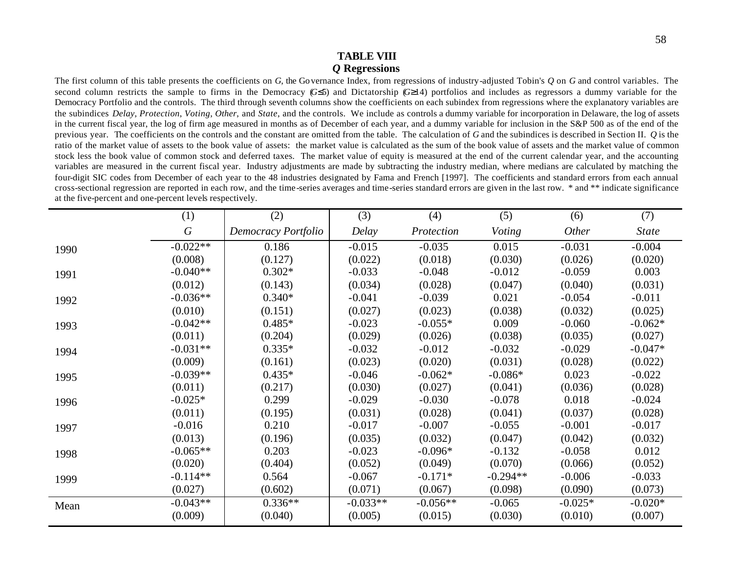## **TABLE VIII** *Q* **Regressions**

The first column of this table presents the coefficients on *G*, the Go vernance Index, from regressions of industry-adjusted Tobin's *Q* on *G* and control variables. The second column restricts the sample to firms in the Democracy (*G*≤5) and Dictatorship (*G*≥14) portfolios and includes as regressors a dummy variable for the Democracy Portfolio and the controls. The third through seventh columns show the coefficients on each subindex from regressions where the explanatory variables are the subindices *Delay*, *Protection*, *Voting*, *Other*, and *State*, and the controls. We include as controls a dummy variable for incorporation in Delaware, the log of assets in the current fiscal year, the log of firm age measured in months as of December of each year, and a dummy variable for inclusion in the S&P 500 as of the end of the previous year. The coefficients on the controls and the constant are omitted from the table. The calculation of *G* and the subindices is described in Section II. *Q* is the ratio of the market value of assets to the book value of assets: the market value is calculated as the sum of the book value of assets and the market value of common stock less the book value of common stock and deferred taxes. The market value of equity is measured at the end of the current calendar year, and the accounting variables are measured in the current fiscal year. Industry adjustments are made by subtracting the industry median, where medians are calculated by matching the four-digit SIC codes from December of each year to the 48 industries designated by Fama and French [1997]. The coefficients and standard errors from each annual cross-sectional regression are reported in each row, and the time-series averages and time-series standard errors are given in the last row. \* and \*\* indicate significance at the five-percent and one-percent levels respectively.

|      | (1)              | (2)                 | (3)        | (4)        | (5)        | (6)       | (7)          |
|------|------------------|---------------------|------------|------------|------------|-----------|--------------|
|      | $\boldsymbol{G}$ | Democracy Portfolio | Delay      | Protection | Voting     | Other     | <b>State</b> |
| 1990 | $-0.022**$       | 0.186               | $-0.015$   | $-0.035$   | 0.015      | $-0.031$  | $-0.004$     |
|      | (0.008)          | (0.127)             | (0.022)    | (0.018)    | (0.030)    | (0.026)   | (0.020)      |
| 1991 | $-0.040**$       | $0.302*$            | $-0.033$   | $-0.048$   | $-0.012$   | $-0.059$  | 0.003        |
|      | (0.012)          | (0.143)             | (0.034)    | (0.028)    | (0.047)    | (0.040)   | (0.031)      |
| 1992 | $-0.036**$       | $0.340*$            | $-0.041$   | $-0.039$   | 0.021      | $-0.054$  | $-0.011$     |
|      | (0.010)          | (0.151)             | (0.027)    | (0.023)    | (0.038)    | (0.032)   | (0.025)      |
| 1993 | $-0.042**$       | $0.485*$            | $-0.023$   | $-0.055*$  | 0.009      | $-0.060$  | $-0.062*$    |
|      | (0.011)          | (0.204)             | (0.029)    | (0.026)    | (0.038)    | (0.035)   | (0.027)      |
| 1994 | $-0.031**$       | $0.335*$            | $-0.032$   | $-0.012$   | $-0.032$   | $-0.029$  | $-0.047*$    |
|      | (0.009)          | (0.161)             | (0.023)    | (0.020)    | (0.031)    | (0.028)   | (0.022)      |
| 1995 | $-0.039**$       | $0.435*$            | $-0.046$   | $-0.062*$  | $-0.086*$  | 0.023     | $-0.022$     |
|      | (0.011)          | (0.217)             | (0.030)    | (0.027)    | (0.041)    | (0.036)   | (0.028)      |
| 1996 | $-0.025*$        | 0.299               | $-0.029$   | $-0.030$   | $-0.078$   | 0.018     | $-0.024$     |
|      | (0.011)          | (0.195)             | (0.031)    | (0.028)    | (0.041)    | (0.037)   | (0.028)      |
| 1997 | $-0.016$         | 0.210               | $-0.017$   | $-0.007$   | $-0.055$   | $-0.001$  | $-0.017$     |
|      | (0.013)          | (0.196)             | (0.035)    | (0.032)    | (0.047)    | (0.042)   | (0.032)      |
| 1998 | $-0.065**$       | 0.203               | $-0.023$   | $-0.096*$  | $-0.132$   | $-0.058$  | 0.012        |
|      | (0.020)          | (0.404)             | (0.052)    | (0.049)    | (0.070)    | (0.066)   | (0.052)      |
| 1999 | $-0.114**$       | 0.564               | $-0.067$   | $-0.171*$  | $-0.294**$ | $-0.006$  | $-0.033$     |
|      | (0.027)          | (0.602)             | (0.071)    | (0.067)    | (0.098)    | (0.090)   | (0.073)      |
| Mean | $-0.043**$       | $0.336**$           | $-0.033**$ | $-0.056**$ | $-0.065$   | $-0.025*$ | $-0.020*$    |
|      | (0.009)          | (0.040)             | (0.005)    | (0.015)    | (0.030)    | (0.010)   | (0.007)      |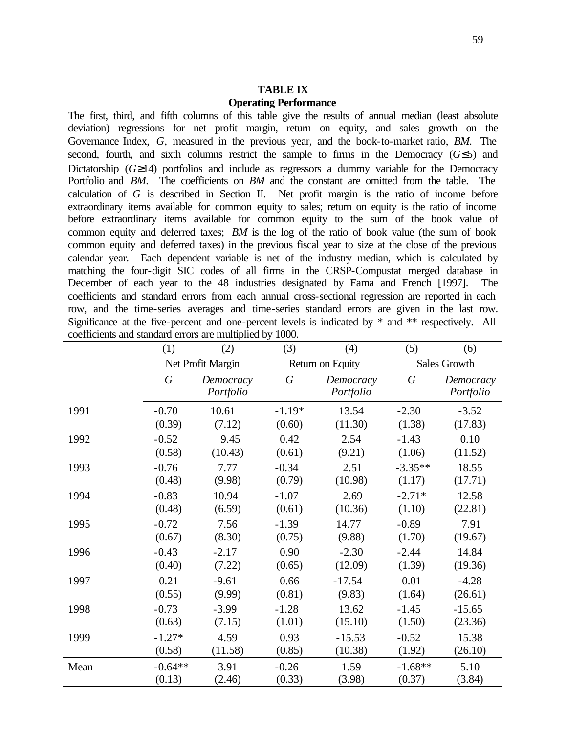## **TABLE IX Operating Performance**

The first, third, and fifth columns of this table give the results of annual median (least absolute deviation) regressions for net profit margin, return on equity, and sales growth on the Governance Index, *G,* measured in the previous year, and the book-to-market ratio, *BM*. The second, fourth, and sixth columns restrict the sample to firms in the Democracy  $(G \leq 5)$  and Dictatorship (*G*≥14) portfolios and include as regressors a dummy variable for the Democracy Portfolio and *BM*. The coefficients on *BM* and the constant are omitted from the table. The calculation of *G* is described in Section II. Net profit margin is the ratio of income before extraordinary items available for common equity to sales; return on equity is the ratio of income before extraordinary items available for common equity to the sum of the book value of common equity and deferred taxes; *BM* is the log of the ratio of book value (the sum of book common equity and deferred taxes) in the previous fiscal year to size at the close of the previous calendar year. Each dependent variable is net of the industry median, which is calculated by matching the four-digit SIC codes of all firms in the CRSP-Compustat merged database in December of each year to the 48 industries designated by Fama and French [1997]. The coefficients and standard errors from each annual cross-sectional regression are reported in each row, and the time-series averages and time-series standard errors are given in the last row. Significance at the five-percent and one-percent levels is indicated by \* and \*\* respectively. All coefficients and standard errors are multiplied by 1000.

|      | (1)              | (2)                    | (3)              | (4)                    | (5)              | (6)                    |
|------|------------------|------------------------|------------------|------------------------|------------------|------------------------|
|      |                  | Net Profit Margin      |                  | Return on Equity       |                  | Sales Growth           |
|      | $\boldsymbol{G}$ | Democracy<br>Portfolio | $\boldsymbol{G}$ | Democracy<br>Portfolio | $\boldsymbol{G}$ | Democracy<br>Portfolio |
| 1991 | $-0.70$          | 10.61                  | $-1.19*$         | 13.54                  | $-2.30$          | $-3.52$                |
|      | (0.39)           | (7.12)                 | (0.60)           | (11.30)                | (1.38)           | (17.83)                |
| 1992 | $-0.52$          | 9.45                   | 0.42             | 2.54                   | $-1.43$          | 0.10                   |
|      | (0.58)           | (10.43)                | (0.61)           | (9.21)                 | (1.06)           | (11.52)                |
| 1993 | $-0.76$          | 7.77                   | $-0.34$          | 2.51                   | $-3.35**$        | 18.55                  |
|      | (0.48)           | (9.98)                 | (0.79)           | (10.98)                | (1.17)           | (17.71)                |
| 1994 | $-0.83$          | 10.94                  | $-1.07$          | 2.69                   | $-2.71*$         | 12.58                  |
|      | (0.48)           | (6.59)                 | (0.61)           | (10.36)                | (1.10)           | (22.81)                |
| 1995 | $-0.72$          | 7.56                   | $-1.39$          | 14.77                  | $-0.89$          | 7.91                   |
|      | (0.67)           | (8.30)                 | (0.75)           | (9.88)                 | (1.70)           | (19.67)                |
| 1996 | $-0.43$          | $-2.17$                | 0.90             | $-2.30$                | $-2.44$          | 14.84                  |
|      | (0.40)           | (7.22)                 | (0.65)           | (12.09)                | (1.39)           | (19.36)                |
| 1997 | 0.21             | $-9.61$                | 0.66             | $-17.54$               | 0.01             | $-4.28$                |
|      | (0.55)           | (9.99)                 | (0.81)           | (9.83)                 | (1.64)           | (26.61)                |
| 1998 | $-0.73$          | $-3.99$                | $-1.28$          | 13.62                  | $-1.45$          | $-15.65$               |
|      | (0.63)           | (7.15)                 | (1.01)           | (15.10)                | (1.50)           | (23.36)                |
| 1999 | $-1.27*$         | 4.59                   | 0.93             | $-15.53$               | $-0.52$          | 15.38                  |
|      | (0.58)           | (11.58)                | (0.85)           | (10.38)                | (1.92)           | (26.10)                |
| Mean | $-0.64**$        | 3.91                   | $-0.26$          | 1.59                   | $-1.68**$        | 5.10                   |
|      | (0.13)           | (2.46)                 | (0.33)           | (3.98)                 | (0.37)           | (3.84)                 |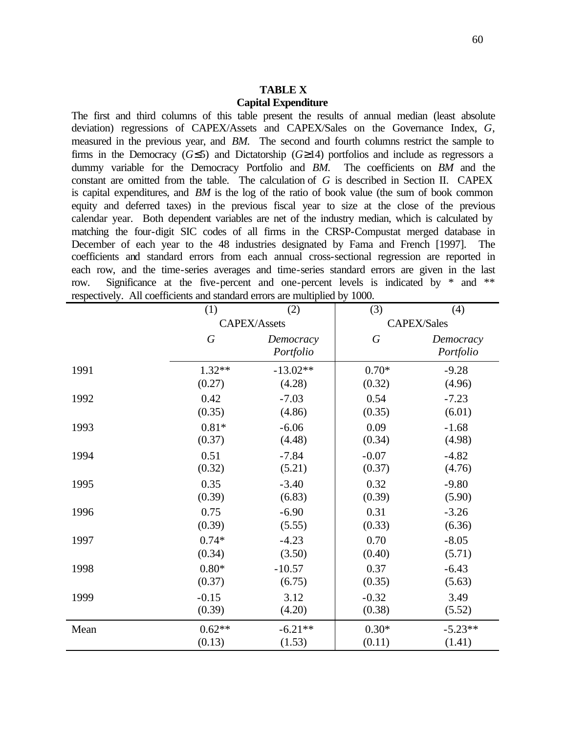## **TABLE X Capital Expenditure**

The first and third columns of this table present the results of annual median (least absolute deviation) regressions of CAPEX/Assets and CAPEX/Sales on the Governance Index, *G*, measured in the previous year, and *BM*. The second and fourth columns restrict the sample to firms in the Democracy (*G*≤5) and Dictatorship (*G*≥14) portfolios and include as regressors a dummy variable for the Democracy Portfolio and *BM*. The coefficients on *BM* and the constant are omitted from the table. The calculation of *G* is described in Section II. CAPEX is capital expenditures, and *BM* is the log of the ratio of book value (the sum of book common equity and deferred taxes) in the previous fiscal year to size at the close of the previous calendar year. Both dependent variables are net of the industry median, which is calculated by matching the four-digit SIC codes of all firms in the CRSP-Compustat merged database in December of each year to the 48 industries designated by Fama and French [1997]. The coefficients and standard errors from each annual cross-sectional regression are reported in each row, and the time-series averages and time-series standard errors are given in the last row. Significance at the five-percent and one-percent levels is indicated by \* and \*\* respectively. All coefficients and standard errors are multiplied by 1000.

|      | (1)              | (2)                    | (3)              | (4)                    |
|------|------------------|------------------------|------------------|------------------------|
|      |                  | <b>CAPEX/Assets</b>    |                  | <b>CAPEX/Sales</b>     |
|      | $\boldsymbol{G}$ | Democracy<br>Portfolio | $\boldsymbol{G}$ | Democracy<br>Portfolio |
| 1991 | $1.32**$         | $-13.02**$             | $0.70*$          | $-9.28$                |
|      | (0.27)           | (4.28)                 | (0.32)           | (4.96)                 |
| 1992 | 0.42             | $-7.03$                | 0.54             | $-7.23$                |
|      | (0.35)           | (4.86)                 | (0.35)           | (6.01)                 |
| 1993 | $0.81*$          | $-6.06$                | 0.09             | $-1.68$                |
|      | (0.37)           | (4.48)                 | (0.34)           | (4.98)                 |
| 1994 | 0.51             | $-7.84$                | $-0.07$          | $-4.82$                |
|      | (0.32)           | (5.21)                 | (0.37)           | (4.76)                 |
| 1995 | 0.35             | $-3.40$                | 0.32             | $-9.80$                |
|      | (0.39)           | (6.83)                 | (0.39)           | (5.90)                 |
| 1996 | 0.75             | $-6.90$                | 0.31             | $-3.26$                |
|      | (0.39)           | (5.55)                 | (0.33)           | (6.36)                 |
| 1997 | $0.74*$          | $-4.23$                | 0.70             | $-8.05$                |
|      | (0.34)           | (3.50)                 | (0.40)           | (5.71)                 |
| 1998 | $0.80*$          | $-10.57$               | 0.37             | $-6.43$                |
|      | (0.37)           | (6.75)                 | (0.35)           | (5.63)                 |
| 1999 | $-0.15$          | 3.12                   | $-0.32$          | 3.49                   |
|      | (0.39)           | (4.20)                 | (0.38)           | (5.52)                 |
| Mean | $0.62**$         | $-6.21**$              | $0.30*$          | $-5.23**$              |
|      | (0.13)           | (1.53)                 | (0.11)           | (1.41)                 |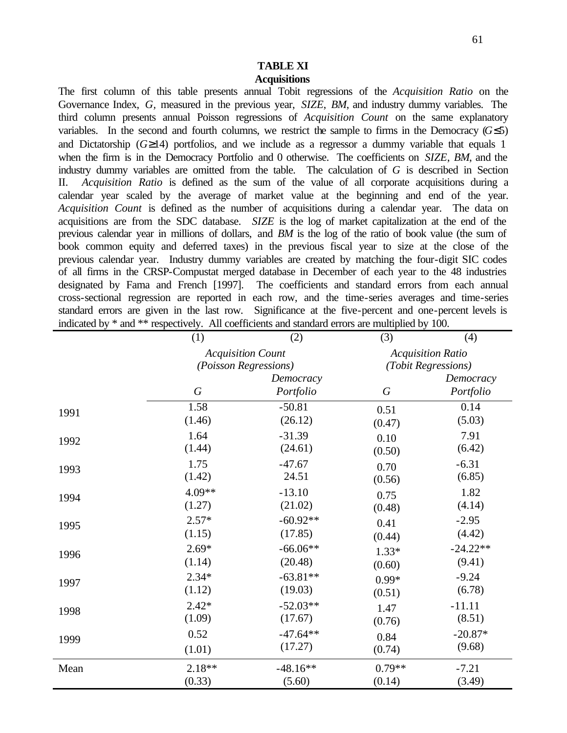## **TABLE XI Acquisitions**

The first column of this table presents annual Tobit regressions of the *Acquisition Ratio* on the Governance Index, *G,* measured in the previous year, *SIZE*, *BM*, and industry dummy variables. The third column presents annual Poisson regressions of *Acquisition Count* on the same explanatory variables. In the second and fourth columns, we restrict the sample to firms in the Democracy (*G*≤5) and Dictatorship  $(G \geq 14)$  portfolios, and we include as a regressor a dummy variable that equals 1 when the firm is in the Democracy Portfolio and 0 otherwise. The coefficients on *SIZE*, *BM*, and the industry dummy variables are omitted from the table. The calculation of *G* is described in Section II. *Acquisition Ratio* is defined as the sum of the value of all corporate acquisitions during a calendar year scaled by the average of market value at the beginning and end of the year. *Acquisition Count* is defined as the number of acquisitions during a calendar year. The data on acquisitions are from the SDC database. *SIZE* is the log of market capitalization at the end of the previous calendar year in millions of dollars, and *BM* is the log of the ratio of book value (the sum of book common equity and deferred taxes) in the previous fiscal year to size at the close of the previous calendar year. Industry dummy variables are created by matching the four-digit SIC codes of all firms in the CRSP-Compustat merged database in December of each year to the 48 industries designated by Fama and French [1997]. The coefficients and standard errors from each annual cross-sectional regression are reported in each row, and the time-series averages and time-series standard errors are given in the last row. Significance at the five-percent and one-percent levels is indicated by \* and \*\* respectively. All coefficients and standard errors are multiplied by 100.

|      | (1)                                               | (2)                    | (3)              | (4)                                             |
|------|---------------------------------------------------|------------------------|------------------|-------------------------------------------------|
|      | <b>Acquisition Count</b><br>(Poisson Regressions) |                        |                  | <b>Acquisition Ratio</b><br>(Tobit Regressions) |
|      | $\boldsymbol{G}$                                  | Democracy<br>Portfolio | $\boldsymbol{G}$ | Democracy<br>Portfolio                          |
| 1991 | 1.58                                              | $-50.81$               | 0.51             | 0.14                                            |
|      | (1.46)                                            | (26.12)                | (0.47)           | (5.03)                                          |
| 1992 | 1.64                                              | $-31.39$               | 0.10             | 7.91                                            |
|      | (1.44)                                            | (24.61)                | (0.50)           | (6.42)                                          |
| 1993 | 1.75                                              | $-47.67$               | 0.70             | $-6.31$                                         |
|      | (1.42)                                            | 24.51                  | (0.56)           | (6.85)                                          |
| 1994 | 4.09**                                            | $-13.10$               | 0.75             | 1.82                                            |
|      | (1.27)                                            | (21.02)                | (0.48)           | (4.14)                                          |
| 1995 | $2.57*$                                           | $-60.92**$             | 0.41             | $-2.95$                                         |
|      | (1.15)                                            | (17.85)                | (0.44)           | (4.42)                                          |
| 1996 | $2.69*$                                           | $-66.06**$             | $1.33*$          | $-24.22**$                                      |
|      | (1.14)                                            | (20.48)                | (0.60)           | (9.41)                                          |
| 1997 | $2.34*$                                           | $-63.81**$             | $0.99*$          | $-9.24$                                         |
|      | (1.12)                                            | (19.03)                | (0.51)           | (6.78)                                          |
| 1998 | $2.42*$                                           | $-52.03**$             | 1.47             | $-11.11$                                        |
|      | (1.09)                                            | (17.67)                | (0.76)           | (8.51)                                          |
| 1999 | 0.52                                              | $-47.64**$             | 0.84             | $-20.87*$                                       |
|      | (1.01)                                            | (17.27)                | (0.74)           | (9.68)                                          |
| Mean | $2.18**$                                          | $-48.16**$             | $0.79**$         | $-7.21$                                         |
|      | (0.33)                                            | (5.60)                 | (0.14)           | (3.49)                                          |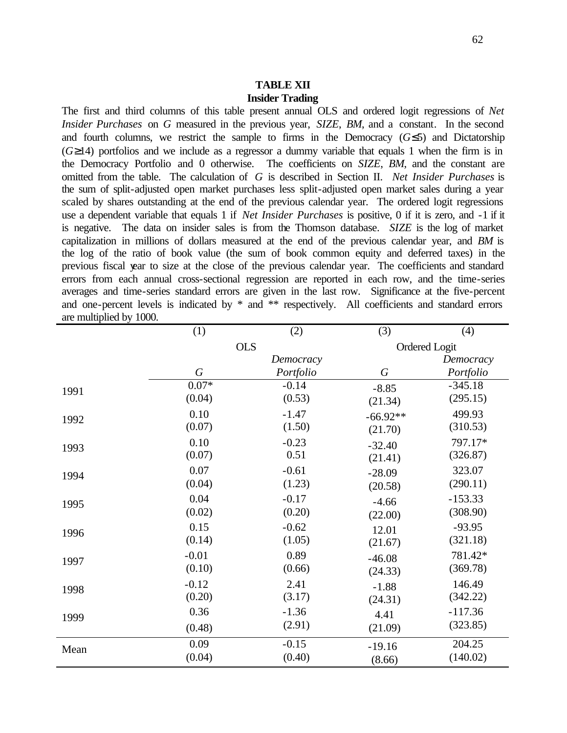## **TABLE XII Insider Trading**

The first and third columns of this table present annual OLS and ordered logit regressions of *Net Insider Purchases* on *G* measured in the previous year, *SIZE*, *BM*, and a constant. In the second and fourth columns, we restrict the sample to firms in the Democracy (*G*≤5) and Dictatorship  $(G \geq 14)$  portfolios and we include as a regressor a dummy variable that equals 1 when the firm is in the Democracy Portfolio and 0 otherwise. The coefficients on *SIZE*, *BM*, and the constant are omitted from the table. The calculation of *G* is described in Section II. *Net Insider Purchases* is the sum of split-adjusted open market purchases less split-adjusted open market sales during a year scaled by shares outstanding at the end of the previous calendar year. The ordered logit regressions use a dependent variable that equals 1 if *Net Insider Purchases* is positive, 0 if it is zero, and -1 if it is negative. The data on insider sales is from the Thomson database. *SIZE* is the log of market capitalization in millions of dollars measured at the end of the previous calendar year, and *BM* is the log of the ratio of book value (the sum of book common equity and deferred taxes) in the previous fiscal year to size at the close of the previous calendar year. The coefficients and standard errors from each annual cross-sectional regression are reported in each row, and the time-series averages and time-series standard errors are given in the last row. Significance at the five-percent and one-percent levels is indicated by \* and \*\* respectively. All coefficients and standard errors are multiplied by 1000.

|      | (1)            | (2)       | (3)              | (4)       |
|------|----------------|-----------|------------------|-----------|
|      | <b>OLS</b>     |           | Ordered Logit    |           |
|      |                | Democracy |                  | Democracy |
|      | $\overline{G}$ | Portfolio | $\boldsymbol{G}$ | Portfolio |
| 1991 | $0.07*$        | $-0.14$   | $-8.85$          | $-345.18$ |
|      | (0.04)         | (0.53)    | (21.34)          | (295.15)  |
| 1992 | 0.10           | $-1.47$   | $-66.92**$       | 499.93    |
|      | (0.07)         | (1.50)    | (21.70)          | (310.53)  |
| 1993 | 0.10           | $-0.23$   | $-32.40$         | 797.17*   |
|      | (0.07)         | 0.51      | (21.41)          | (326.87)  |
| 1994 | 0.07           | $-0.61$   | $-28.09$         | 323.07    |
|      | (0.04)         | (1.23)    | (20.58)          | (290.11)  |
| 1995 | 0.04           | $-0.17$   | $-4.66$          | $-153.33$ |
|      | (0.02)         | (0.20)    | (22.00)          | (308.90)  |
|      | 0.15           | $-0.62$   | 12.01            | $-93.95$  |
| 1996 | (0.14)         | (1.05)    | (21.67)          | (321.18)  |
| 1997 | $-0.01$        | 0.89      | $-46.08$         | 781.42*   |
|      | (0.10)         | (0.66)    | (24.33)          | (369.78)  |
| 1998 | $-0.12$        | 2.41      | $-1.88$          | 146.49    |
|      | (0.20)         | (3.17)    | (24.31)          | (342.22)  |
| 1999 | 0.36           | $-1.36$   | 4.41             | $-117.36$ |
|      | (0.48)         | (2.91)    | (21.09)          | (323.85)  |
| Mean | 0.09           | $-0.15$   | $-19.16$         | 204.25    |
|      | (0.04)         | (0.40)    | (8.66)           | (140.02)  |
|      |                |           |                  |           |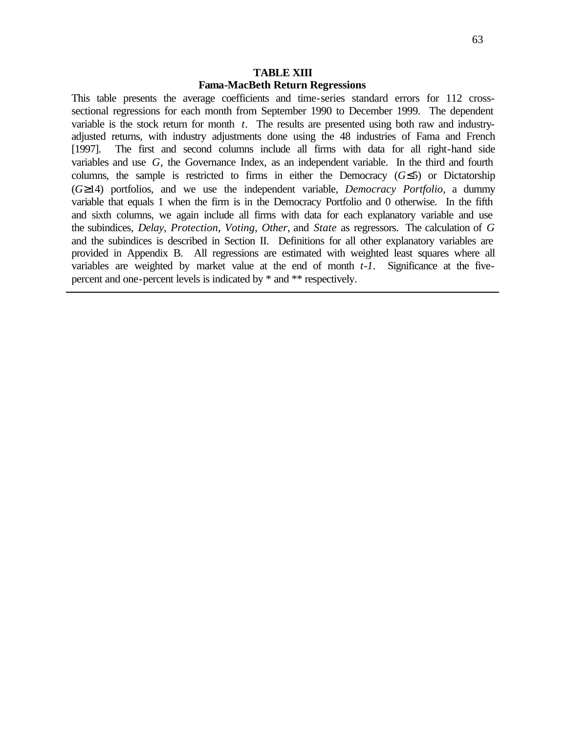## **TABLE XIII Fama-MacBeth Return Regressions**

This table presents the average coefficients and time-series standard errors for 112 crosssectional regressions for each month from September 1990 to December 1999. The dependent variable is the stock return for month *t*. The results are presented using both raw and industryadjusted returns, with industry adjustments done using the 48 industries of Fama and French [1997]. The first and second columns include all firms with data for all right-hand side variables and use *G*, the Governance Index, as an independent variable. In the third and fourth columns, the sample is restricted to firms in either the Democracy (*G*≤5) or Dictatorship (*G*≥14) portfolios, and we use the independent variable, *Democracy Portfolio*, a dummy variable that equals 1 when the firm is in the Democracy Portfolio and 0 otherwise. In the fifth and sixth columns, we again include all firms with data for each explanatory variable and use the subindices, *Delay*, *Protection*, *Voting*, *Other*, and *State* as regressors. The calculation of *G* and the subindices is described in Section II. Definitions for all other explanatory variables are provided in Appendix B. All regressions are estimated with weighted least squares where all variables are weighted by market value at the end of month *t-1*. Significance at the fivepercent and one-percent levels is indicated by \* and \*\* respectively.